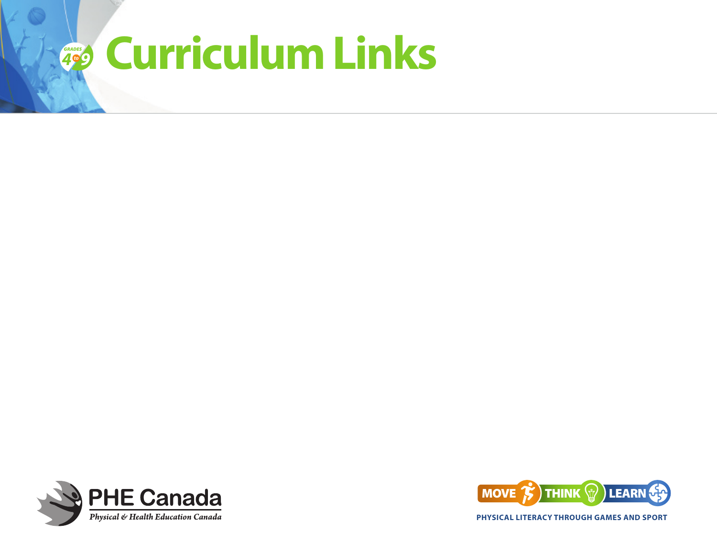## *4 GRADES 9to* **Curriculum Links**





**PHYSICAL LITERACY THROUGH GAMES AND SPORT**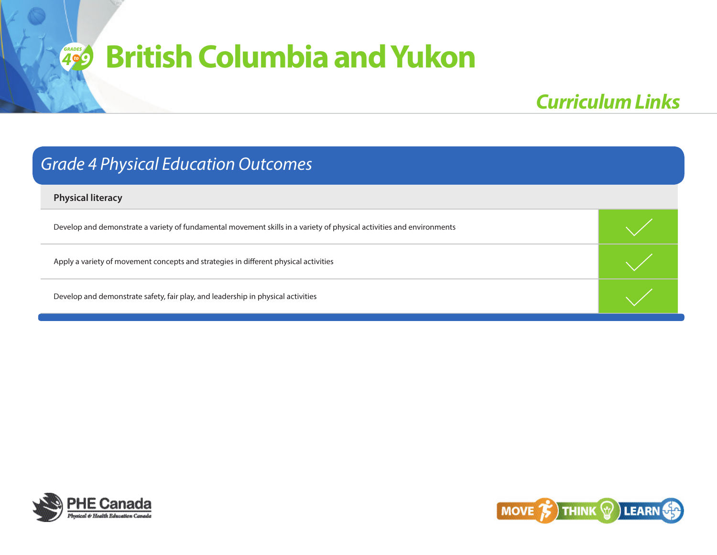### *British Columbia and Yukon 9RADES*

## *Curriculum Links*

### *Grade 4 Physical Education Outcomes*

**Physical literacy** 

Develop and demonstrate a variety of fundamental movement skills in a variety of physical activities and environments

Apply a variety of movement concepts and strategies in different physical activities



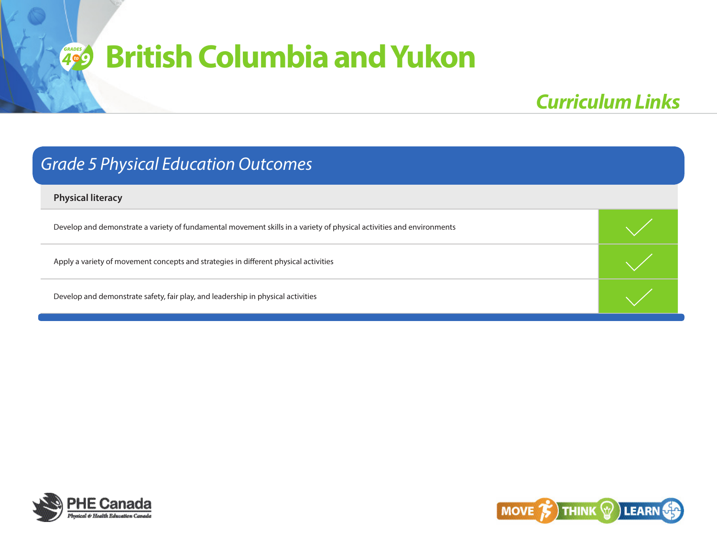## *Curriculum Links*

### *Grade 5 Physical Education Outcomes*

**Physical literacy** 

Develop and demonstrate a variety of fundamental movement skills in a variety of physical activities and environments

Apply a variety of movement concepts and strategies in different physical activities



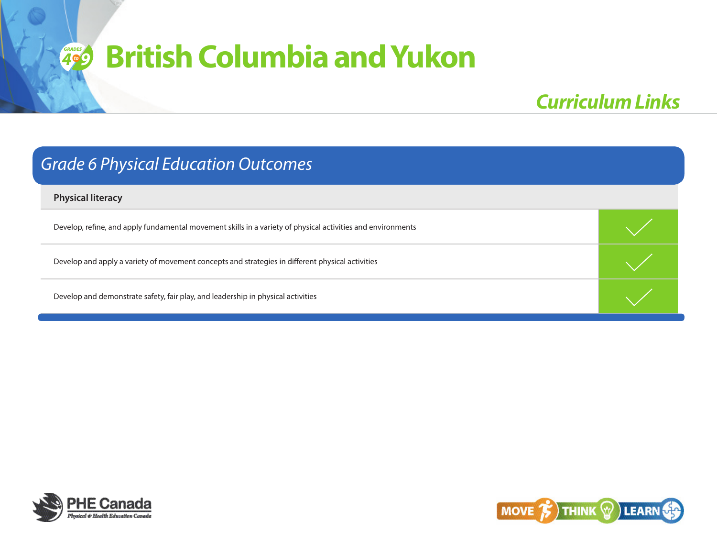## *Curriculum Links*

### *Grade 6 Physical Education Outcomes*

**Physical literacy** 

Develop, refine, and apply fundamental movement skills in a variety of physical activities and environments

Develop and apply a variety of movement concepts and strategies in different physical activities



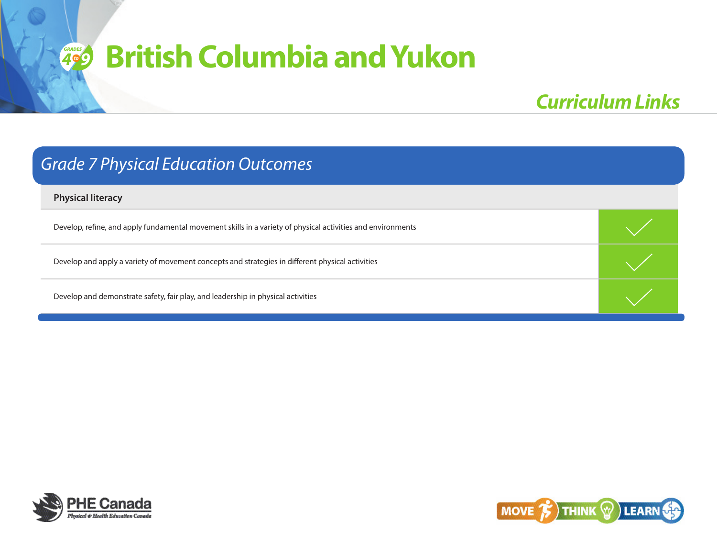## *Curriculum Links*

### *Grade 7 Physical Education Outcomes*

**Physical literacy** 

Develop, refine, and apply fundamental movement skills in a variety of physical activities and environments

Develop and apply a variety of movement concepts and strategies in different physical activities



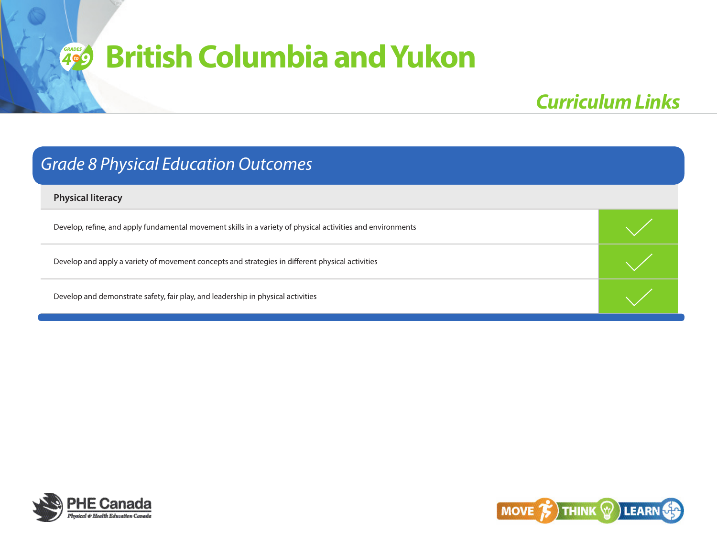## *Curriculum Links*

### *Grade 8 Physical Education Outcomes*

**Physical literacy** 

Develop, refine, and apply fundamental movement skills in a variety of physical activities and environments

Develop and apply a variety of movement concepts and strategies in different physical activities



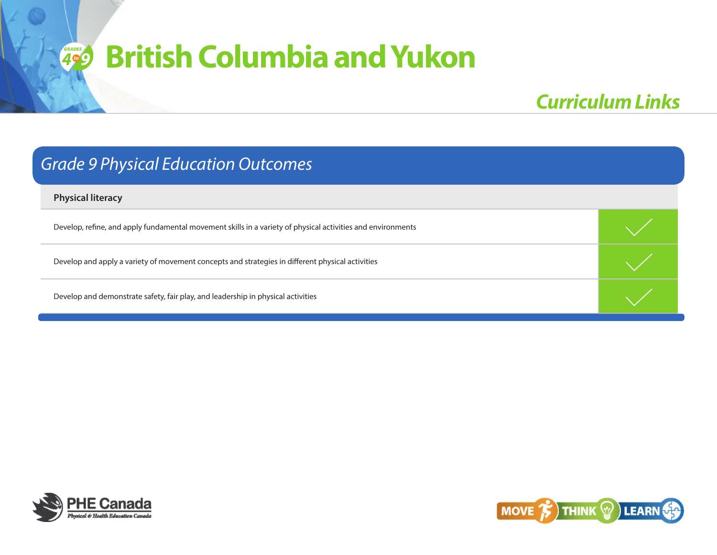## *Curriculum Links*

### *Grade 9 Physical Education Outcomes*

**Physical literacy** 

Develop, refine, and apply fundamental movement skills in a variety of physical activities and environments

Develop and apply a variety of movement concepts and strategies in different physical activities



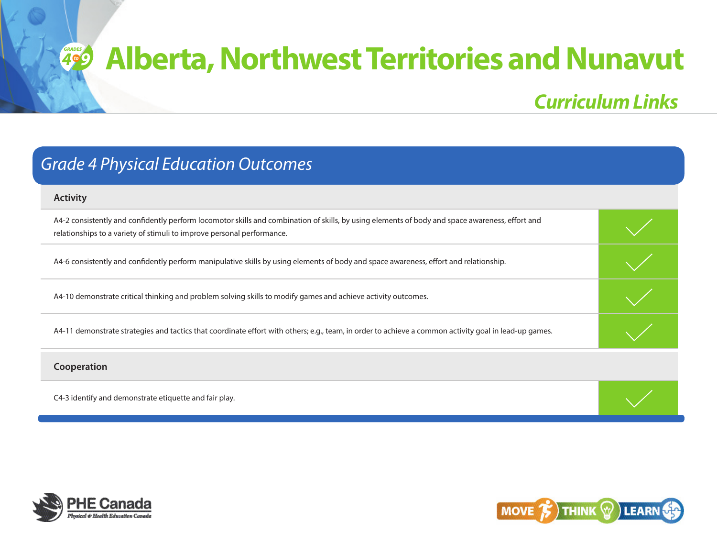## *Curriculum Links*

## *Grade 4 Physical Education Outcomes*

#### **Activity**

| A4-2 consistently and confidently perform locomotor skills and combination of skills, by using elements of body and space awareness, effort and |  |
|-------------------------------------------------------------------------------------------------------------------------------------------------|--|
| relationships to a variety of stimuli to improve personal performance.                                                                          |  |

A4-6 consistently and confidently perform manipulative skills by using elements of body and space awareness, effort and relationship.

A4-10 demonstrate critical thinking and problem solving skills to modify games and achieve activity outcomes.

A4-11 demonstrate strategies and tactics that coordinate effort with others; e.g., team, in order to achieve a common activity goal in lead-up games.

#### **Cooperation**

C4-3 identify and demonstrate etiquette and fair play.



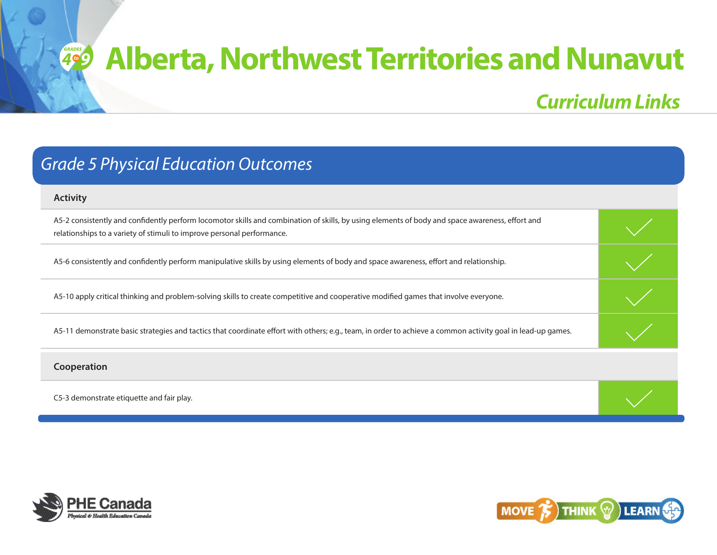*Curriculum Links*

#### **Activity**

| A5-2 consistently and confidently perform locomotor skills and combination of skills, by using elements of body and space awareness, effort and |  |
|-------------------------------------------------------------------------------------------------------------------------------------------------|--|
| relationships to a variety of stimuli to improve personal performance.                                                                          |  |

A5-6 consistently and confidently perform manipulative skills by using elements of body and space awareness, effort and relationship.

A5-10 apply critical thinking and problem-solving skills to create competitive and cooperative modified games that involve everyone.

A5-11 demonstrate basic strategies and tactics that coordinate effort with others; e.g., team, in order to achieve a common activity goal in lead-up games.

**Cooperation**

C5-3 demonstrate etiquette and fair play.



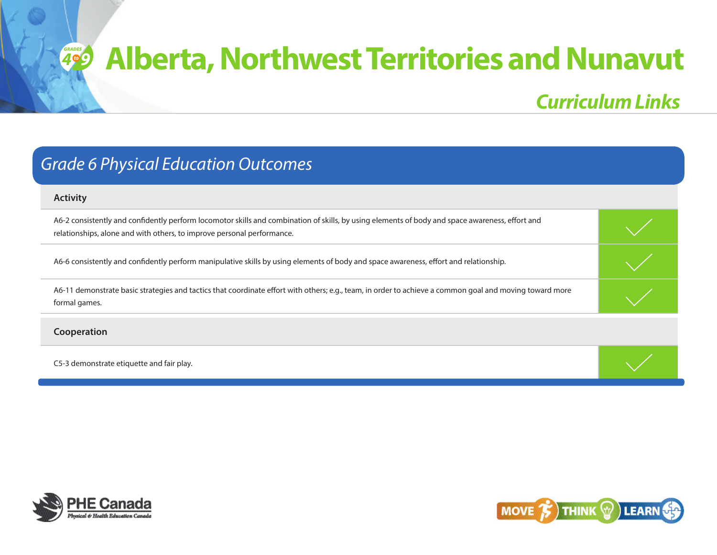*Curriculum Links*

### *Grade 6 Physical Education Outcomes*

#### **Activity**

A6-2 consistently and confidently perform locomotor skills and combination of skills, by using elements of body and space awareness, effort and relationships, alone and with others, to improve personal performance.

A6-6 consistently and confidently perform manipulative skills by using elements of body and space awareness, effort and relationship.

A6-11 demonstrate basic strategies and tactics that coordinate effort with others; e.g., team, in order to achieve a common goal and moving toward more formal games.

#### **Cooperation**

C5-3 demonstrate etiquette and fair play.



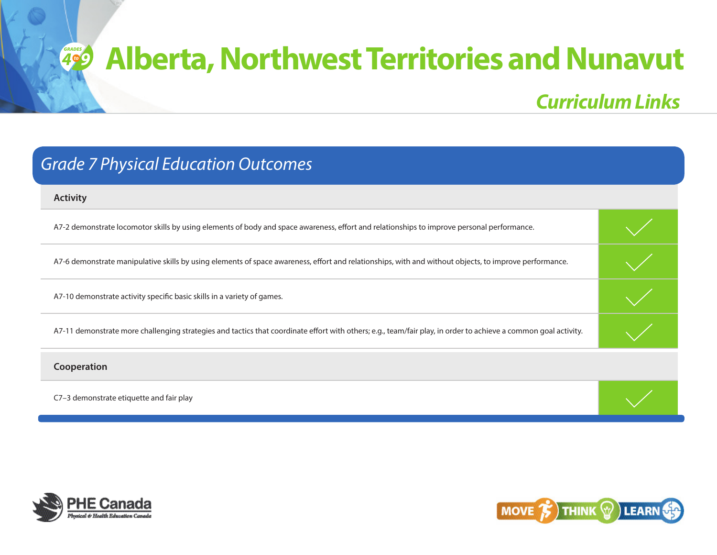*Curriculum Links*

| <b>Grade 7 Physical Education Outcomes</b> |  |  |
|--------------------------------------------|--|--|
|--------------------------------------------|--|--|

| <b>Activity</b>                                                                                                                                                 |  |
|-----------------------------------------------------------------------------------------------------------------------------------------------------------------|--|
| A7-2 demonstrate locomotor skills by using elements of body and space awareness, effort and relationships to improve personal performance.                      |  |
| A7-6 demonstrate manipulative skills by using elements of space awareness, effort and relationships, with and without objects, to improve performance.          |  |
| A7-10 demonstrate activity specific basic skills in a variety of games.                                                                                         |  |
| A7-11 demonstrate more challenging strategies and tactics that coordinate effort with others; e.g., team/fair play, in order to achieve a common goal activity. |  |
| Cooperation                                                                                                                                                     |  |
| C7-3 demonstrate etiquette and fair play                                                                                                                        |  |



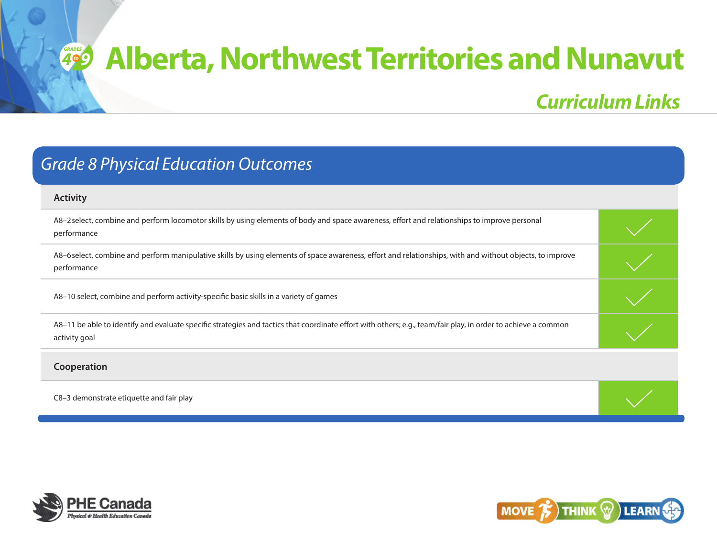## *Curriculum Links*

## *Grade 8 Physical Education Outcomes*

| <b>Activity</b>                                                                                                                                                                |  |
|--------------------------------------------------------------------------------------------------------------------------------------------------------------------------------|--|
| A8-2 select, combine and perform locomotor skills by using elements of body and space awareness, effort and relationships to improve personal<br>performance                   |  |
| A8-6 select, combine and perform manipulative skills by using elements of space awareness, effort and relationships, with and without objects, to improve<br>performance       |  |
| A8-10 select, combine and perform activity-specific basic skills in a variety of games                                                                                         |  |
| A8-11 be able to identify and evaluate specific strategies and tactics that coordinate effort with others; e.g., team/fair play, in order to achieve a common<br>activity goal |  |
| Cooperation                                                                                                                                                                    |  |
| C8-3 demonstrate etiquette and fair play                                                                                                                                       |  |



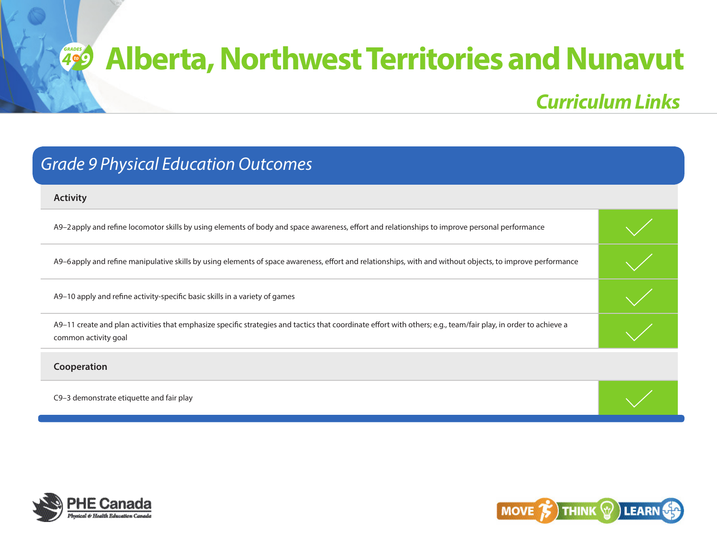# *4***<sup>***g***</sup> Alberta, Northwest Territories and Nunavut**

## *Curriculum Links*

|  | <b>Grade 9 Physical Education Outcomes</b> |
|--|--------------------------------------------|
|--|--------------------------------------------|

| <b>Activity</b>                                                                                                                                                                         |  |
|-----------------------------------------------------------------------------------------------------------------------------------------------------------------------------------------|--|
| A9-2 apply and refine locomotor skills by using elements of body and space awareness, effort and relationships to improve personal performance                                          |  |
| A9-6 apply and refine manipulative skills by using elements of space awareness, effort and relationships, with and without objects, to improve performance                              |  |
| A9-10 apply and refine activity-specific basic skills in a variety of games                                                                                                             |  |
| A9-11 create and plan activities that emphasize specific strategies and tactics that coordinate effort with others; e.g., team/fair play, in order to achieve a<br>common activity goal |  |
| Cooperation                                                                                                                                                                             |  |
| C9-3 demonstrate etiquette and fair play                                                                                                                                                |  |



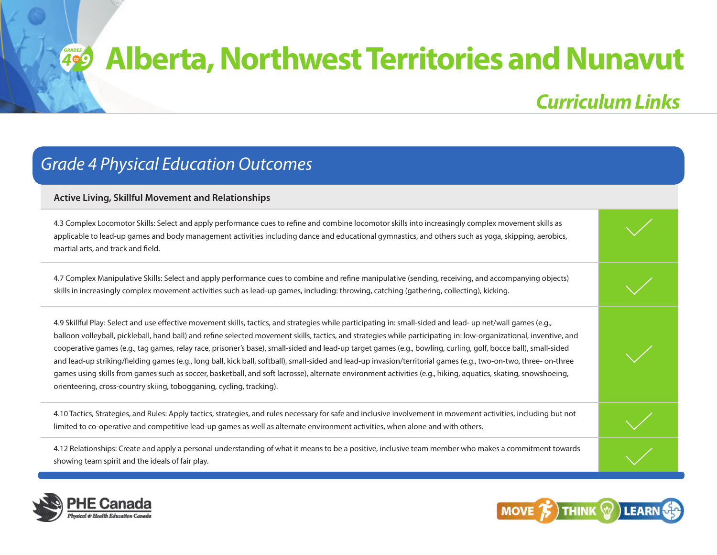## *Curriculum Links*

### *Grade 4 Physical Education Outcomes*

#### **Active Living, Skillful Movement and Relationships**

4.3 Complex Locomotor Skills: Select and apply performance cues to refine and combine locomotor skills into increasingly complex movement skills as applicable to lead-up games and body management activities including dance and educational gymnastics, and others such as yoga, skipping, aerobics, martial arts, and track and field.

4.7 Complex Manipulative Skills: Select and apply performance cues to combine and refine manipulative (sending, receiving, and accompanying objects) skills in increasingly complex movement activities such as lead-up games, including: throwing, catching (gathering, collecting), kicking.

4.9 Skillful Play: Select and use effective movement skills, tactics, and strategies while participating in: small-sided and lead- up net/wall games (e.g., balloon volleyball, pickleball, hand ball) and refine selected movement skills, tactics, and strategies while participating in: low-organizational, inventive, and cooperative games (e.g., tag games, relay race, prisoner's base), small-sided and lead-up target games (e.g., bowling, curling, golf, bocce ball), small-sided and lead-up striking/fielding games (e.g., long ball, kick ball, softball), small-sided and lead-up invasion/territorial games (e.g., two-on-two, three- on-three games using skills from games such as soccer, basketball, and soft lacrosse), alternate environment activities (e.g., hiking, aquatics, skating, snowshoeing, orienteering, cross-country skiing, tobogganing, cycling, tracking).

4.10 Tactics, Strategies, and Rules: Apply tactics, strategies, and rules necessary for safe and inclusive involvement in movement activities, including but not limited to co-operative and competitive lead-up games as well as alternate environment activities, when alone and with others.

4.12 Relationships: Create and apply a personal understanding of what it means to be a positive, inclusive team member who makes a commitment towards showing team spirit and the ideals of fair play.



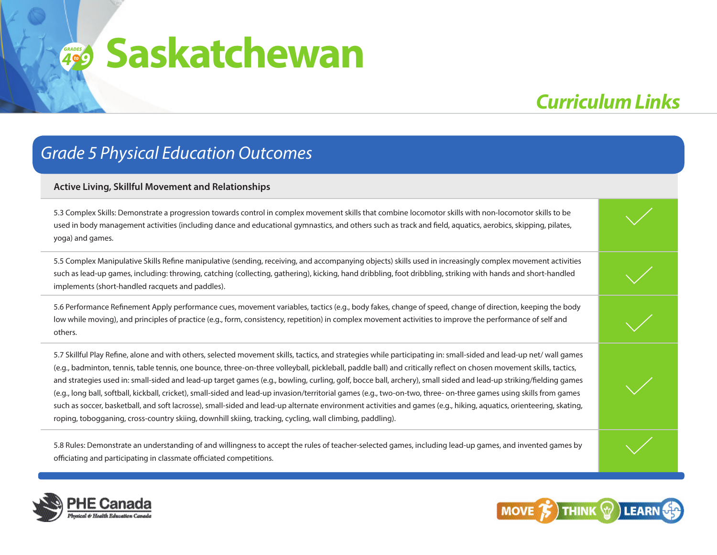## *Curriculum Links*

### *Grade 5 Physical Education Outcomes*

#### **Active Living, Skillful Movement and Relationships**

5.3 Complex Skills: Demonstrate a progression towards control in complex movement skills that combine locomotor skills with non-locomotor skills to be used in body management activities (including dance and educational gymnastics, and others such as track and field, aquatics, aerobics, skipping, pilates, yoga) and games.

5.5 Complex Manipulative Skills Refine manipulative (sending, receiving, and accompanying objects) skills used in increasingly complex movement activities such as lead-up games, including: throwing, catching (collecting, gathering), kicking, hand dribbling, foot dribbling, striking with hands and short-handled implements (short-handled racquets and paddles).

5.6 Performance Refinement Apply performance cues, movement variables, tactics (e.g., body fakes, change of speed, change of direction, keeping the body low while moving), and principles of practice (e.g., form, consistency, repetition) in complex movement activities to improve the performance of self and others.

5.7 Skillful Play Refine, alone and with others, selected movement skills, tactics, and strategies while participating in: small-sided and lead-up net/ wall games (e.g., badminton, tennis, table tennis, one bounce, three-on-three volleyball, pickleball, paddle ball) and critically reflect on chosen movement skills, tactics, and strategies used in: small-sided and lead-up target games (e.g., bowling, curling, golf, bocce ball, archery), small sided and lead-up striking/fielding games (e.g., long ball, softball, kickball, cricket), small-sided and lead-up invasion/territorial games (e.g., two-on-two, three- on-three games using skills from games such as soccer, basketball, and soft lacrosse), small-sided and lead-up alternate environment activities and games (e.g., hiking, aquatics, orienteering, skating, roping, tobogganing, cross-country skiing, downhill skiing, tracking, cycling, wall climbing, paddling).

5.8 Rules: Demonstrate an understanding of and willingness to accept the rules of teacher-selected games, including lead-up games, and invented games by officiating and participating in classmate officiated competitions.



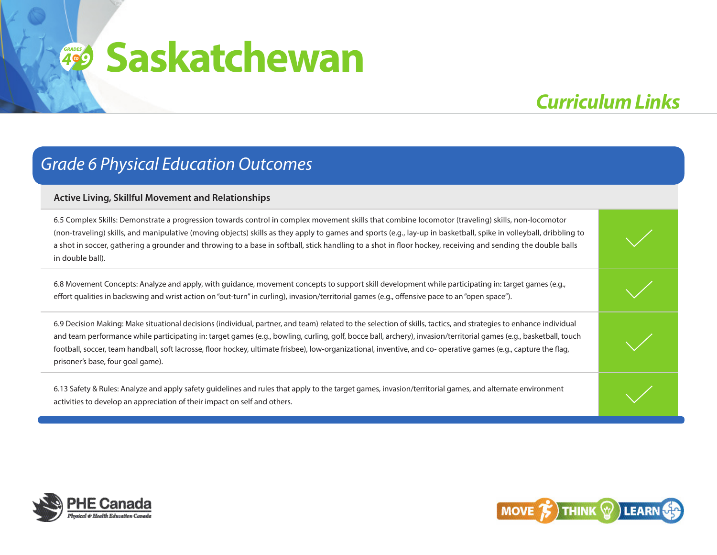## *Curriculum Links*

### *Grade 6 Physical Education Outcomes*

#### **Active Living, Skillful Movement and Relationships**

6.5 Complex Skills: Demonstrate a progression towards control in complex movement skills that combine locomotor (traveling) skills, non-locomotor (non-traveling) skills, and manipulative (moving objects) skills as they apply to games and sports (e.g., lay-up in basketball, spike in volleyball, dribbling to a shot in soccer, gathering a grounder and throwing to a base in softball, stick handling to a shot in floor hockey, receiving and sending the double balls in double ball).

6.8 Movement Concepts: Analyze and apply, with guidance, movement concepts to support skill development while participating in: target games (e.g., effort qualities in backswing and wrist action on "out-turn" in curling), invasion/territorial games (e.g., offensive pace to an "open space").

6.9 Decision Making: Make situational decisions (individual, partner, and team) related to the selection of skills, tactics, and strategies to enhance individual and team performance while participating in: target games (e.g., bowling, curling, golf, bocce ball, archery), invasion/territorial games (e.g., basketball, touch football, soccer, team handball, soft lacrosse, floor hockey, ultimate frisbee), low-organizational, inventive, and co- operative games (e.g., capture the flag, prisoner's base, four goal game).

6.13 Safety & Rules: Analyze and apply safety guidelines and rules that apply to the target games, invasion/territorial games, and alternate environment activities to develop an appreciation of their impact on self and others.



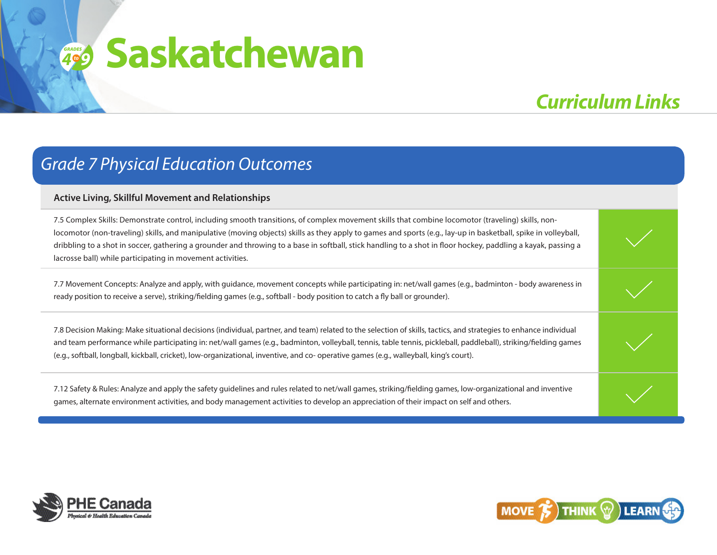## *Curriculum Links*

### *Grade 7 Physical Education Outcomes*

#### **Active Living, Skillful Movement and Relationships**

7.5 Complex Skills: Demonstrate control, including smooth transitions, of complex movement skills that combine locomotor (traveling) skills, nonlocomotor (non-traveling) skills, and manipulative (moving objects) skills as they apply to games and sports (e.g., lay-up in basketball, spike in volleyball, dribbling to a shot in soccer, gathering a grounder and throwing to a base in softball, stick handling to a shot in floor hockey, paddling a kayak, passing a lacrosse ball) while participating in movement activities.

7.7 Movement Concepts: Analyze and apply, with guidance, movement concepts while participating in: net/wall games (e.g., badminton - body awareness in ready position to receive a serve), striking/fielding games (e.g., softball - body position to catch a fly ball or grounder).

7.8 Decision Making: Make situational decisions (individual, partner, and team) related to the selection of skills, tactics, and strategies to enhance individual and team performance while participating in: net/wall games (e.g., badminton, volleyball, tennis, table tennis, pickleball, paddleball), striking/fielding games (e.g., softball, longball, kickball, cricket), low-organizational, inventive, and co- operative games (e.g., walleyball, king's court).

7.12 Safety & Rules: Analyze and apply the safety guidelines and rules related to net/wall games, striking/fielding games, low-organizational and inventive games, alternate environment activities, and body management activities to develop an appreciation of their impact on self and others.



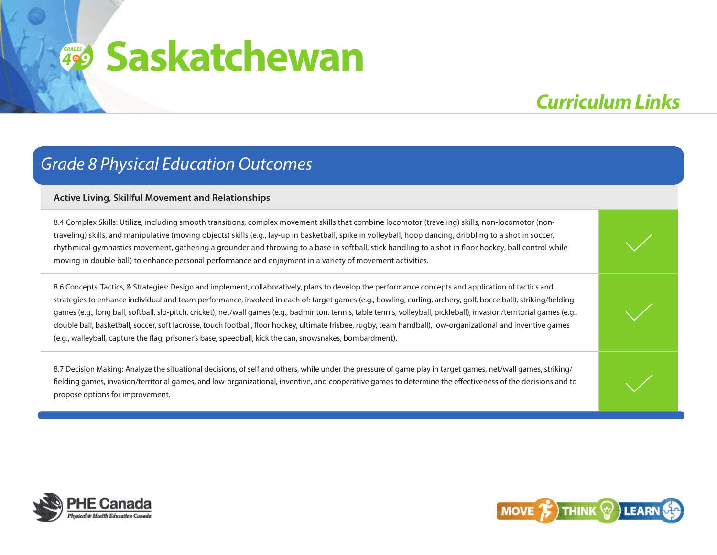## *Curriculum Links*

### *Grade 8 Physical Education Outcomes*

#### **Active Living, Skillful Movement and Relationships**

8.4 Complex Skills: Utilize, including smooth transitions, complex movement skills that combine locomotor (traveling) skills, non-locomotor (nontraveling) skills, and manipulative (moving objects) skills (e.g., lay-up in basketball, spike in volleyball, hoop dancing, dribbling to a shot in soccer, rhythmical gymnastics movement, gathering a grounder and throwing to a base in softball, stick handling to a shot in floor hockey, ball control while moving in double ball) to enhance personal performance and enjoyment in a variety of movement activities.

8.6 Concepts, Tactics, & Strategies: Design and implement, collaboratively, plans to develop the performance concepts and application of tactics and strategies to enhance individual and team performance, involved in each of: target games (e.g., bowling, curling, archery, golf, bocce ball), striking/fielding games (e.g., long ball, softball, slo-pitch, cricket), net/wall games (e.g., badminton, tennis, table tennis, volleyball, pickleball), invasion/territorial games (e.g., double ball, basketball, soccer, soft lacrosse, touch football, floor hockey, ultimate frisbee, rugby, team handball), low-organizational and inventive games (e.g., walleyball, capture the flag, prisoner's base, speedball, kick the can, snowsnakes, bombardment).

8.7 Decision Making: Analyze the situational decisions, of self and others, while under the pressure of game play in target games, net/wall games, striking/ fielding games, invasion/territorial games, and low-organizational, inventive, and cooperative games to determine the effectiveness of the decisions and to propose options for improvement.



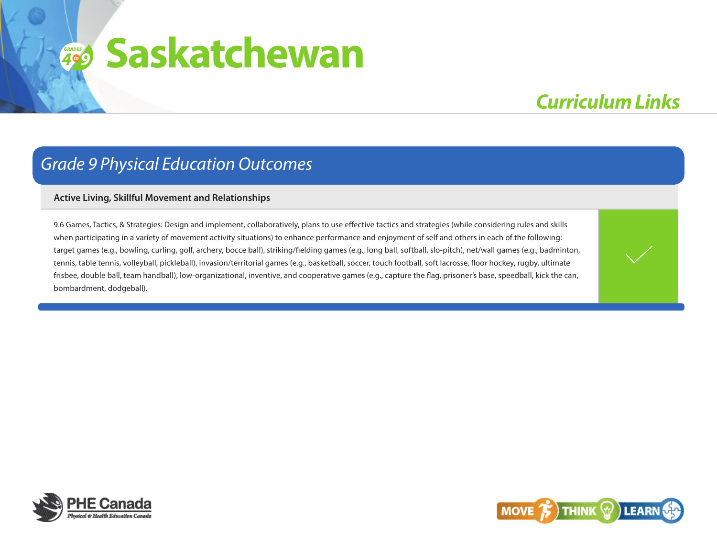## **4**<sup><sup>o</sup><sup>9</sup></sup> **Saskatchewan**

## *Curriculum Links*

### *Grade 9 Physical Education Outcomes*

#### **Active Living, Skillful Movement and Relationships**

9.6 Games, Tactics, & Strategies: Design and implement, collaboratively, plans to use effective tactics and strategies (while considering rules and skills when participating in a variety of movement activity situations) to enhance performance and enjoyment of self and others in each of the following: target games (e.g., bowling, curling, golf, archery, bocce ball), striking/fielding games (e.g., long ball, softball, slo-pitch), net/wall games (e.g., badminton, tennis, table tennis, volleyball, pickleball), invasion/territorial games (e.g., basketball, soccer, touch football, soft lacrosse, floor hockey, rugby, ultimate frisbee, double ball, team handball), low-organizational, inventive, and cooperative games (e.g., capture the flag, prisoner's base, speedball, kick the can, bombardment, dodgeball).



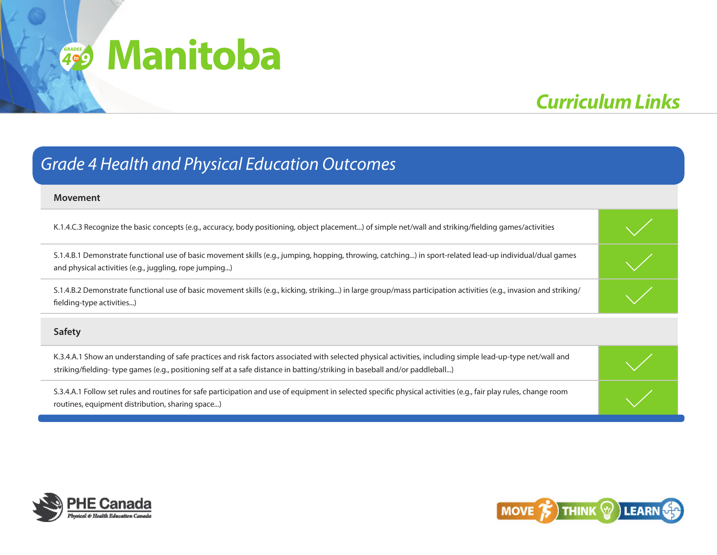## **4**<sup><sup>o</sup><sup>9</sup></sup> **Manitoba**

## *Curriculum Links*

## **Movement**  K.1.4.C.3 Recognize the basic concepts (e.g., accuracy, body positioning, object placement...) of simple net/wall and striking/fielding games/activities S.1.4.B.1 Demonstrate functional use of basic movement skills (e.g., jumping, hopping, throwing, catching...) in sport-related lead-up individual/dual games and physical activities (e.g., juggling, rope jumping...) S.1.4.B.2 Demonstrate functional use of basic movement skills (e.g., kicking, striking...) in large group/mass participation activities (e.g., invasion and striking/ fielding-type activities...) **Safety** K.3.4.A.1 Show an understanding of safe practices and risk factors associated with selected physical activities, including simple lead-up-type net/wall and striking/fielding- type games (e.g., positioning self at a safe distance in batting/striking in baseball and/or paddleball...) S.3.4.A.1 Follow set rules and routines for safe participation and use of equipment in selected specific physical activities (e.g., fair play rules, change room routines, equipment distribution, sharing space...) *Grade 4 Health and Physical Education Outcomes*



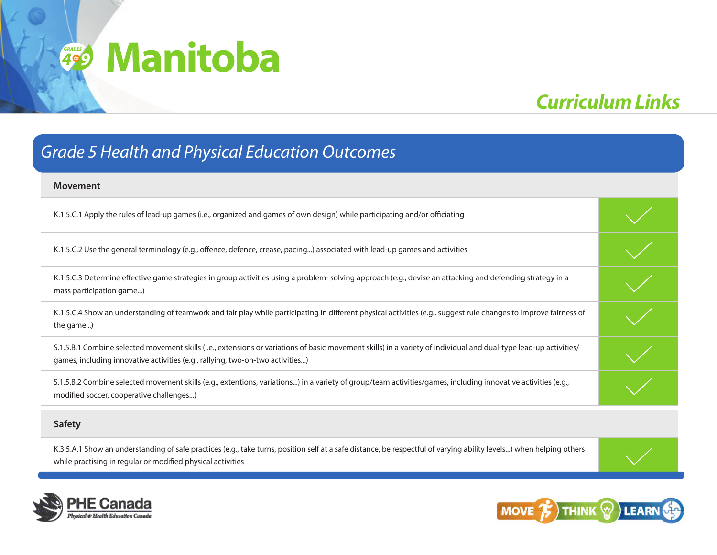## **4**<sup><sup>o</sup><sup>9</sup></sup> **Manitoba**

## *Curriculum Links*

### *Grade 5 Health and Physical Education Outcomes*

| <b>Movement</b>                                                                                                                                                                                                                                     |  |
|-----------------------------------------------------------------------------------------------------------------------------------------------------------------------------------------------------------------------------------------------------|--|
| K.1.5.C.1 Apply the rules of lead-up games (i.e., organized and games of own design) while participating and/or officiating                                                                                                                         |  |
| K.1.5.C.2 Use the general terminology (e.g., offence, defence, crease, pacing) associated with lead-up games and activities                                                                                                                         |  |
| K.1.5.C.3 Determine effective game strategies in group activities using a problem- solving approach (e.g., devise an attacking and defending strategy in a<br>mass participation game)                                                              |  |
| K.1.5.C.4 Show an understanding of teamwork and fair play while participating in different physical activities (e.g., suggest rule changes to improve fairness of<br>the game)                                                                      |  |
| S.1.5.B.1 Combine selected movement skills (i.e., extensions or variations of basic movement skills) in a variety of individual and dual-type lead-up activities/<br>games, including innovative activities (e.g., rallying, two-on-two activities) |  |
| S.1.5.B.2 Combine selected movement skills (e.g., extentions, variations) in a variety of group/team activities/games, including innovative activities (e.g.,<br>modified soccer, cooperative challenges)                                           |  |
|                                                                                                                                                                                                                                                     |  |

#### **Safety**

K.3.5.A.1 Show an understanding of safe practices (e.g., take turns, position self at a safe distance, be respectful of varying ability levels...) when helping others while practising in regular or modified physical activities





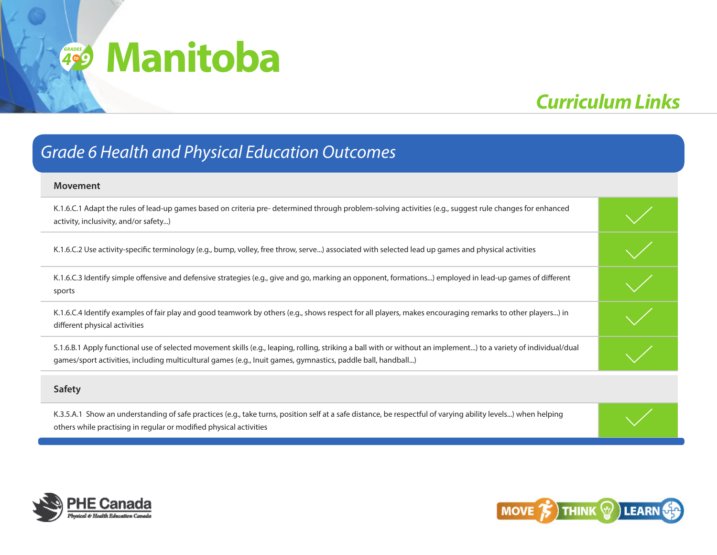## **4**<sup><sup>o</sup><sup>9</sup></sup> **Manitoba**

## *Curriculum Links*

### *Grade 6 Health and Physical Education Outcomes*

| <b>Movement</b>                                                                                                                                                                                                                                                                   |  |
|-----------------------------------------------------------------------------------------------------------------------------------------------------------------------------------------------------------------------------------------------------------------------------------|--|
| K.1.6.C.1 Adapt the rules of lead-up games based on criteria pre-determined through problem-solving activities (e.g., suggest rule changes for enhanced<br>activity, inclusivity, and/or safety)                                                                                  |  |
| K.1.6.C.2 Use activity-specific terminology (e.g., bump, volley, free throw, serve) associated with selected lead up games and physical activities                                                                                                                                |  |
| K.1.6.C.3 Identify simple offensive and defensive strategies (e.g., give and go, marking an opponent, formations) employed in lead-up games of different<br>sports                                                                                                                |  |
| K.1.6.C.4 Identify examples of fair play and good teamwork by others (e.g., shows respect for all players, makes encouraging remarks to other players) in<br>different physical activities                                                                                        |  |
| S.1.6.B.1 Apply functional use of selected movement skills (e.g., leaping, rolling, striking a ball with or without an implement) to a variety of individual/dual<br>games/sport activities, including multicultural games (e.g., Inuit games, gymnastics, paddle ball, handball) |  |
| Safety                                                                                                                                                                                                                                                                            |  |

K.3.5.A.1 Show an understanding of safe practices (e.g., take turns, position self at a safe distance, be respectful of varying ability levels...) when helping others while practising in regular or modified physical activities



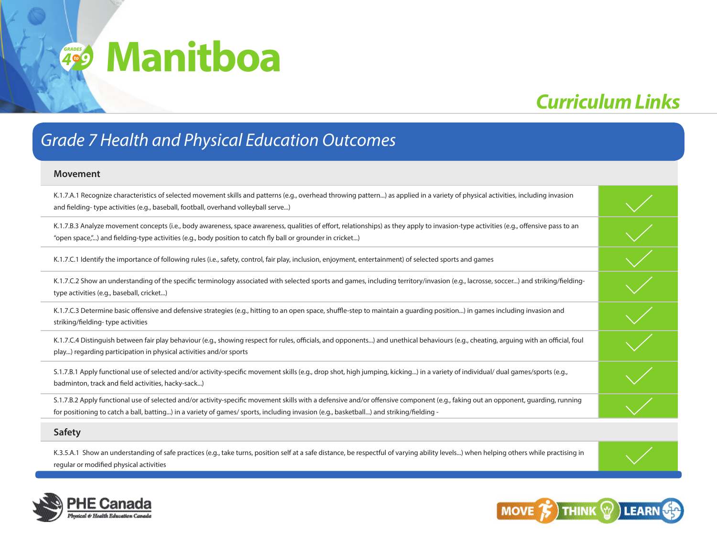## **4**<sup><sup>o</sup><sup>9</sup></sup> **Manitboa**

## *Curriculum Links*

### *Grade 7 Health and Physical Education Outcomes*

#### **Movement**

| K.1.7.A.1 Recognize characteristics of selected movement skills and patterns (e.g., overhead throwing pattern) as applied in a variety of physical activities, including invasion<br>and fielding-type activities (e.g., baseball, football, overhand volleyball serve)                                                    |  |
|----------------------------------------------------------------------------------------------------------------------------------------------------------------------------------------------------------------------------------------------------------------------------------------------------------------------------|--|
| K.1.7.B.3 Analyze movement concepts (i.e., body awareness, space awareness, qualities of effort, relationships) as they apply to invasion-type activities (e.g., offensive pass to an<br>"open space,") and fielding-type activities (e.g., body position to catch fly ball or grounder in cricket)                        |  |
| K.1.7.C.1 Identify the importance of following rules (i.e., safety, control, fair play, inclusion, enjoyment, entertainment) of selected sports and games                                                                                                                                                                  |  |
| K.1.7.C.2 Show an understanding of the specific terminology associated with selected sports and games, including territory/invasion (e.g., lacrosse, soccer) and striking/fielding-<br>type activities (e.g., baseball, cricket)                                                                                           |  |
| K.1.7.C.3 Determine basic offensive and defensive strategies (e.g., hitting to an open space, shuffle-step to maintain a guarding position) in games including invasion and<br>striking/fielding-type activities                                                                                                           |  |
| K.1.7.C.4 Distinguish between fair play behaviour (e.g., showing respect for rules, officials, and opponents) and unethical behaviours (e.g., cheating, arguing with an official, foul<br>play) regarding participation in physical activities and/or sports                                                               |  |
| S.1.7.B.1 Apply functional use of selected and/or activity-specific movement skills (e.g., drop shot, high jumping, kicking) in a variety of individual/ dual games/sports (e.g.,<br>badminton, track and field activities, hacky-sack)                                                                                    |  |
| S.1.7.B.2 Apply functional use of selected and/or activity-specific movement skills with a defensive and/or offensive component (e.g., faking out an opponent, guarding, running<br>for positioning to catch a ball, batting) in a variety of games/ sports, including invasion (e.g., basketball) and striking/fielding - |  |
| <b>Safety</b>                                                                                                                                                                                                                                                                                                              |  |

K.3.5.A.1 Show an understanding of safe practices (e.g., take turns, position self at a safe distance, be respectful of varying ability levels...) when helping others while practising in regular or modified physical activities



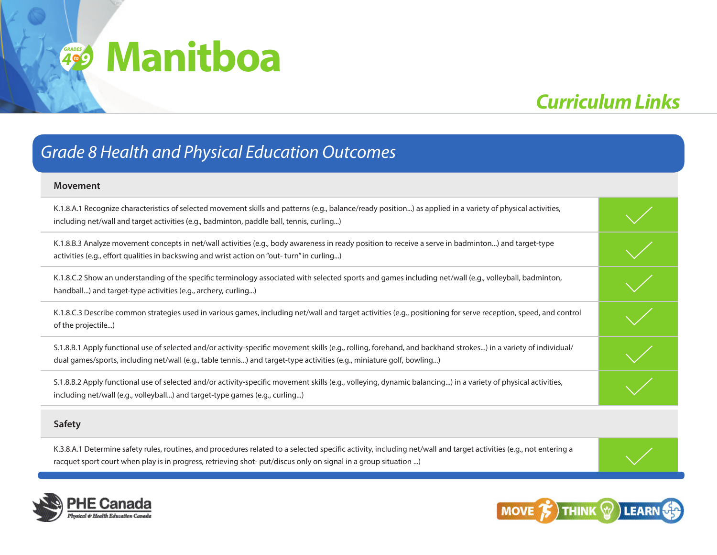## **4**<sup><sup>o</sup><sup>9</sup></sup> **Manitboa**

## *Curriculum Links*

### *Grade 8 Health and Physical Education Outcomes*

#### **Movement**

| K.1.8.A.1 Recognize characteristics of selected movement skills and patterns (e.g., balance/ready position) as applied in a variety of physical activities,<br>including net/wall and target activities (e.g., badminton, paddle ball, tennis, curling)                                  |  |
|------------------------------------------------------------------------------------------------------------------------------------------------------------------------------------------------------------------------------------------------------------------------------------------|--|
| K.1.8.B.3 Analyze movement concepts in net/wall activities (e.g., body awareness in ready position to receive a serve in badminton) and target-type<br>activities (e.g., effort qualities in backswing and wrist action on "out- turn" in curling)                                       |  |
| K.1.8.C.2 Show an understanding of the specific terminology associated with selected sports and games including net/wall (e.g., volleyball, badminton,<br>handball) and target-type activities (e.g., archery, curling)                                                                  |  |
| K.1.8.C.3 Describe common strategies used in various games, including net/wall and target activities (e.g., positioning for serve reception, speed, and control<br>of the projectile)                                                                                                    |  |
| S.1.8.B.1 Apply functional use of selected and/or activity-specific movement skills (e.g., rolling, forehand, and backhand strokes) in a variety of individual/<br>dual games/sports, including net/wall (e.g., table tennis) and target-type activities (e.g., miniature golf, bowling) |  |
| S.1.8.B.2 Apply functional use of selected and/or activity-specific movement skills (e.g., volleying, dynamic balancing) in a variety of physical activities,<br>including net/wall (e.g., volleyball) and target-type games (e.g., curling)                                             |  |
| <b>Safety</b>                                                                                                                                                                                                                                                                            |  |

K.3.8.A.1 Determine safety rules, routines, and procedures related to a selected specific activity, including net/wall and target activities (e.g., not entering a racquet sport court when play is in progress, retrieving shot- put/discus only on signal in a group situation ...)



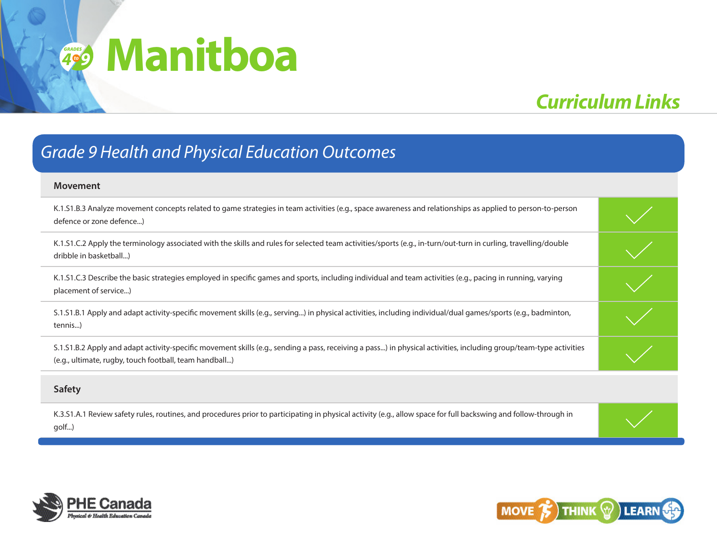## *<sup>4</sup>* **Manitboa** *GRADES 9to*

## *Curriculum Links*

### *Grade 9 Health and Physical Education Outcomes*

| <b>Movement</b>                                                                                                                                                                                                              |  |
|------------------------------------------------------------------------------------------------------------------------------------------------------------------------------------------------------------------------------|--|
| K.1.S1.B.3 Analyze movement concepts related to game strategies in team activities (e.g., space awareness and relationships as applied to person-to-person<br>defence or zone defence)                                       |  |
| K.1.51.C.2 Apply the terminology associated with the skills and rules for selected team activities/sports (e.g., in-turn/out-turn in curling, travelling/double<br>dribble in basketball)                                    |  |
| K.1.51.C.3 Describe the basic strategies employed in specific games and sports, including individual and team activities (e.g., pacing in running, varying<br>placement of service)                                          |  |
| S.1.51.B.1 Apply and adapt activity-specific movement skills (e.g., serving) in physical activities, including individual/dual games/sports (e.g., badminton,<br>tennis)                                                     |  |
| S.1.S1.B.2 Apply and adapt activity-specific movement skills (e.g., sending a pass, receiving a pass) in physical activities, including group/team-type activities<br>(e.g., ultimate, rugby, touch football, team handball) |  |
|                                                                                                                                                                                                                              |  |

#### **Safety**

K.3.S1.A.1 Review safety rules, routines, and procedures prior to participating in physical activity (e.g., allow space for full backswing and follow-through in golf...)



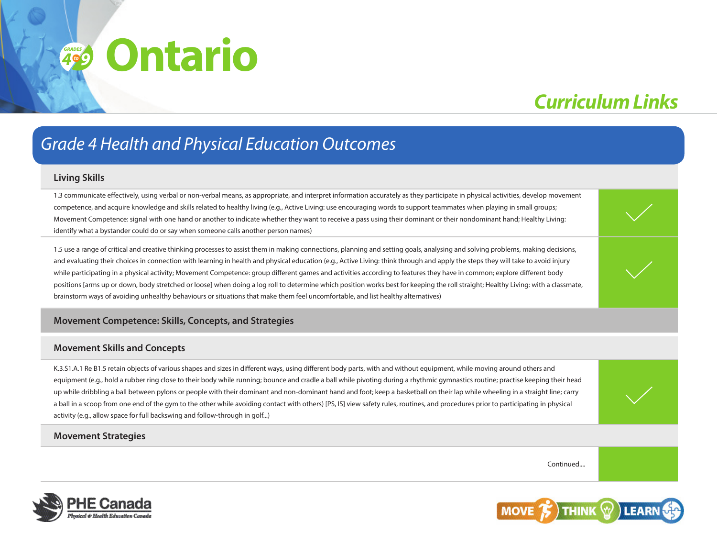## *Curriculum Links*

## *Grade 4 Health and Physical Education Outcomes*

#### **Living Skills**

1.3 communicate effectively, using verbal or non-verbal means, as appropriate, and interpret information accurately as they participate in physical activities, develop movement competence, and acquire knowledge and skills related to healthy living (e.g., Active Living: use encouraging words to support teammates when playing in small groups; Movement Competence: signal with one hand or another to indicate whether they want to receive a pass using their dominant or their nondominant hand; Healthy Living: identify what a bystander could do or say when someone calls another person names)

1.5 use a range of critical and creative thinking processes to assist them in making connections, planning and setting goals, analysing and solving problems, making decisions, and evaluating their choices in connection with learning in health and physical education (e.g., Active Living: think through and apply the steps they will take to avoid injury while participating in a physical activity; Movement Competence: group different games and activities according to features they have in common; explore different body positions [arms up or down, body stretched or loose] when doing a log roll to determine which position works best for keeping the roll straight; Healthy Living: with a classmate, brainstorm ways of avoiding unhealthy behaviours or situations that make them feel uncomfortable, and list healthy alternatives)

#### **Movement Competence: Skills, Concepts, and Strategies**

#### **Movement Skills and Concepts**

K.3.S1.A.1 Re B1.5 retain objects of various shapes and sizes in different ways, using different body parts, with and without equipment, while moving around others and equipment (e.g., hold a rubber ring close to their body while running; bounce and cradle a ball while pivoting during a rhythmic gymnastics routine; practise keeping their head up while dribbling a ball between pylons or people with their dominant and non-dominant hand and foot; keep a basketball on their lap while wheeling in a straight line; carry a ball in a scoop from one end of the gym to the other while avoiding contact with others) [PS, IS] view safety rules, routines, and procedures prior to participating in physical activity (e.g., allow space for full backswing and follow-through in golf...)

#### **Movement Strategies**

Continued....



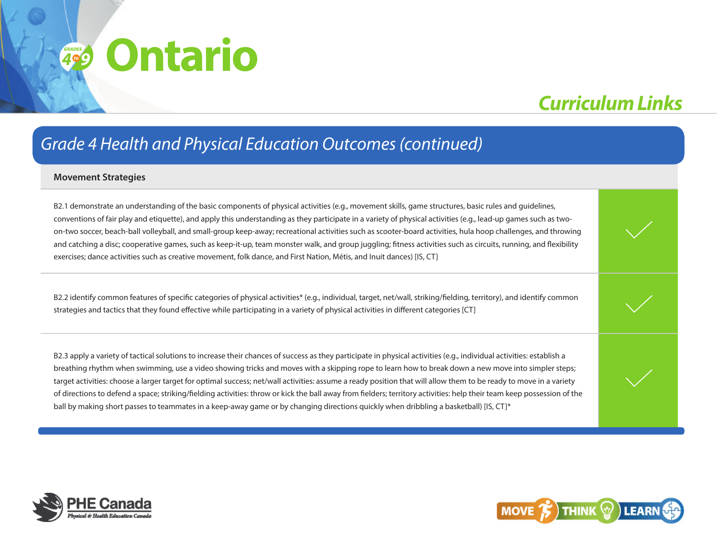## *Curriculum Links*

### *Grade 4 Health and Physical Education Outcomes (continued)*

#### **Movement Strategies**

B2.1 demonstrate an understanding of the basic components of physical activities (e.g., movement skills, game structures, basic rules and guidelines, conventions of fair play and etiquette), and apply this understanding as they participate in a variety of physical activities (e.g., lead-up games such as twoon-two soccer, beach-ball volleyball, and small-group keep-away; recreational activities such as scooter-board activities, hula hoop challenges, and throwing and catching a disc; cooperative games, such as keep-it-up, team monster walk, and group juggling; fitness activities such as circuits, running, and flexibility exercises; dance activities such as creative movement, folk dance, and First Nation, Métis, and Inuit dances) [IS, CT]

B2.2 identify common features of specific categories of physical activities\* (e.g., individual, target, net/wall, striking/fielding, territory), and identify common strategies and tactics that they found effective while participating in a variety of physical activities in different categories [CT]

B2.3 apply a variety of tactical solutions to increase their chances of success as they participate in physical activities (e.g., individual activities: establish a breathing rhythm when swimming, use a video showing tricks and moves with a skipping rope to learn how to break down a new move into simpler steps; target activities: choose a larger target for optimal success; net/wall activities: assume a ready position that will allow them to be ready to move in a variety of directions to defend a space; striking/fielding activities: throw or kick the ball away from fielders; territory activities: help their team keep possession of the ball by making short passes to teammates in a keep-away game or by changing directions quickly when dribbling a basketball) [IS, CT]\*



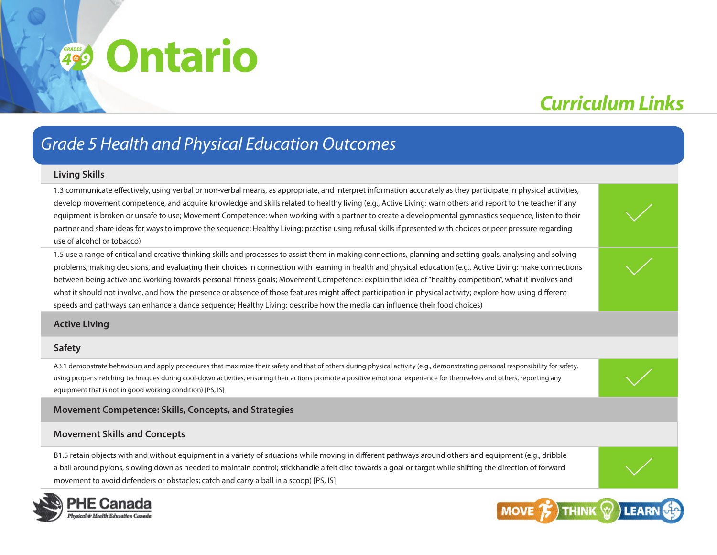## *Curriculum Links*

## *Grade 5 Health and Physical Education Outcomes*

#### **Living Skills**

1.3 communicate effectively, using verbal or non-verbal means, as appropriate, and interpret information accurately as they participate in physical activities, develop movement competence, and acquire knowledge and skills related to healthy living (e.g., Active Living: warn others and report to the teacher if any equipment is broken or unsafe to use; Movement Competence: when working with a partner to create a developmental gymnastics sequence, listen to their partner and share ideas for ways to improve the sequence; Healthy Living: practise using refusal skills if presented with choices or peer pressure regarding use of alcohol or tobacco)

1.5 use a range of critical and creative thinking skills and processes to assist them in making connections, planning and setting goals, analysing and solving problems, making decisions, and evaluating their choices in connection with learning in health and physical education (e.g., Active Living: make connections between being active and working towards personal fitness goals; Movement Competence: explain the idea of "healthy competition", what it involves and what it should not involve, and how the presence or absence of those features might affect participation in physical activity; explore how using different speeds and pathways can enhance a dance sequence; Healthy Living: describe how the media can influence their food choices)

#### **Active Living**

#### **Safety**

A3.1 demonstrate behaviours and apply procedures that maximize their safety and that of others during physical activity (e.g., demonstrating personal responsibility for safety, using proper stretching techniques during cool-down activities, ensuring their actions promote a positive emotional experience for themselves and others, reporting any equipment that is not in good working condition) [PS, IS]

#### **Movement Competence: Skills, Concepts, and Strategies**

#### **Movement Skills and Concepts**

B1.5 retain objects with and without equipment in a variety of situations while moving in different pathways around others and equipment (e.g., dribble a ball around pylons, slowing down as needed to maintain control; stickhandle a felt disc towards a goal or target while shifting the direction of forward movement to avoid defenders or obstacles; catch and carry a ball in a scoop) [PS, IS]



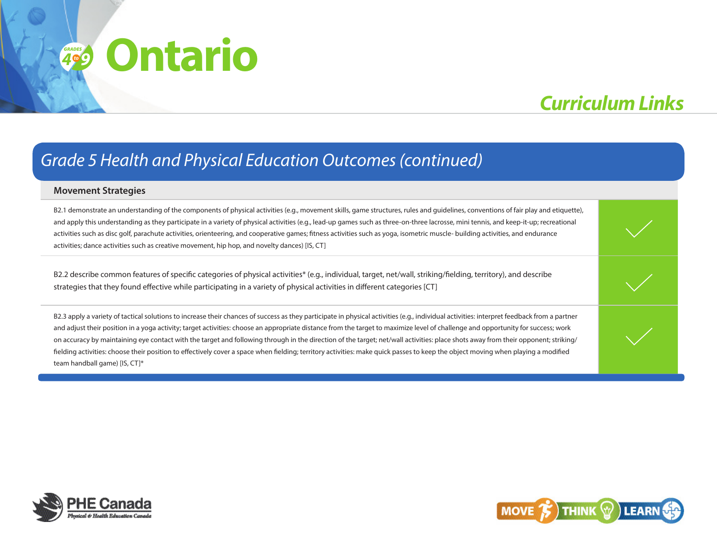## **Ontario** *<sup>4</sup> grades*

## *Curriculum Links*

### *Grade 5 Health and Physical Education Outcomes (continued)*

#### **Movement Strategies**

B2.1 demonstrate an understanding of the components of physical activities (e.g., movement skills, game structures, rules and guidelines, conventions of fair play and etiquette), and apply this understanding as they participate in a variety of physical activities (e.g., lead-up games such as three-on-three lacrosse, mini tennis, and keep-it-up; recreational activities such as disc golf, parachute activities, orienteering, and cooperative games; fitness activities such as yoga, isometric muscle- building activities, and endurance activities; dance activities such as creative movement, hip hop, and novelty dances) [IS, CT]

B2.2 describe common features of specific categories of physical activities\* (e.g., individual, target, net/wall, striking/fielding, territory), and describe strategies that they found effective while participating in a variety of physical activities in different categories [CT]

B2.3 apply a variety of tactical solutions to increase their chances of success as they participate in physical activities (e.q., individual activities: interpret feedback from a partner and adjust their position in a yoga activity; target activities: choose an appropriate distance from the target to maximize level of challenge and opportunity for success; work on accuracy by maintaining eye contact with the target and following through in the direction of the target; net/wall activities: place shots away from their opponent; striking/ fielding activities: choose their position to effectively cover a space when fielding; territory activities: make quick passes to keep the object moving when playing a modified team handball game) [IS, CT]\*



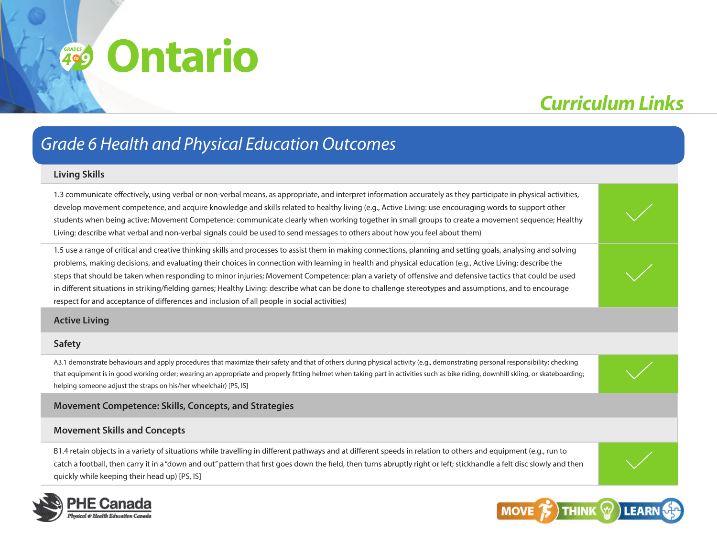## *Curriculum Links*

### *Grade 6 Health and Physical Education Outcomes*

#### **Living Skills**

1.3 communicate effectively, using verbal or non-verbal means, as appropriate, and interpret information accurately as they participate in physical activities, develop movement competence, and acquire knowledge and skills related to healthy living (e.g., Active Living: use encouraging words to support other students when being active; Movement Competence: communicate clearly when working together in small groups to create a movement sequence; Healthy Living: describe what verbal and non-verbal signals could be used to send messages to others about how you feel about them)

1.5 use a range of critical and creative thinking skills and processes to assist them in making connections, planning and setting goals, analysing and solving problems, making decisions, and evaluating their choices in connection with learning in health and physical education (e.g., Active Living: describe the steps that should be taken when responding to minor injuries; Movement Competence: plan a variety of offensive and defensive tactics that could be used in different situations in striking/fielding games; Healthy Living: describe what can be done to challenge stereotypes and assumptions, and to encourage respect for and acceptance of differences and inclusion of all people in social activities)

#### **Active Living**

#### **Safety**

A3.1 demonstrate behaviours and apply procedures that maximize their safety and that of others during physical activity (e.g., demonstrating personal responsibility; checking that equipment is in good working order; wearing an appropriate and properly fitting helmet when taking part in activities such as bike riding, downhill skiing, or skateboarding; helping someone adjust the straps on his/her wheelchair) [PS, IS]

#### **Movement Competence: Skills, Concepts, and Strategies**

#### **Movement Skills and Concepts**

B1.4 retain objects in a variety of situations while travelling in different pathways and at different speeds in relation to others and equipment (e.g., run to catch a football, then carry it in a "down and out" pattern that first goes down the field, then turns abruptly right or left; stickhandle a felt disc slowly and then quickly while keeping their head up) [PS, IS]



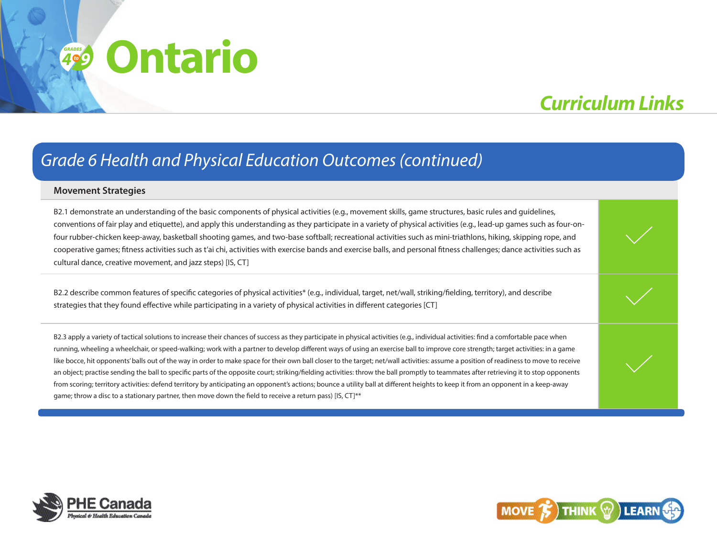## **Ontario** *<sup>4</sup> grades*

## *Curriculum Links*

### *Grade 6 Health and Physical Education Outcomes (continued)*

#### **Movement Strategies**

B2.1 demonstrate an understanding of the basic components of physical activities (e.g., movement skills, game structures, basic rules and guidelines, conventions of fair play and etiquette), and apply this understanding as they participate in a variety of physical activities (e.g., lead-up games such as four-onfour rubber-chicken keep-away, basketball shooting games, and two-base softball; recreational activities such as mini-triathlons, hiking, skipping rope, and cooperative games; fitness activities such as t'ai chi, activities with exercise bands and exercise balls, and personal fitness challenges; dance activities such as cultural dance, creative movement, and jazz steps) [IS, CT]

B2.2 describe common features of specific categories of physical activities\* (e.g., individual, target, net/wall, striking/fielding, territory), and describe strategies that they found effective while participating in a variety of physical activities in different categories [CT]

B2.3 apply a variety of tactical solutions to increase their chances of success as they participate in physical activities (e.g., individual activities: find a comfortable pace when running, wheeling a wheelchair, or speed-walking; work with a partner to develop different ways of using an exercise ball to improve core strength; target activities: in a game like bocce, hit opponents' balls out of the way in order to make space for their own ball closer to the target; net/wall activities: assume a position of readiness to move to receive an object; practise sending the ball to specific parts of the opposite court; striking/fielding activities: throw the ball promptly to teammates after retrieving it to stop opponents from scoring; territory activities: defend territory by anticipating an opponent's actions; bounce a utility ball at different heights to keep it from an opponent in a keep-away game; throw a disc to a stationary partner, then move down the field to receive a return pass) [IS, CT]\*\*



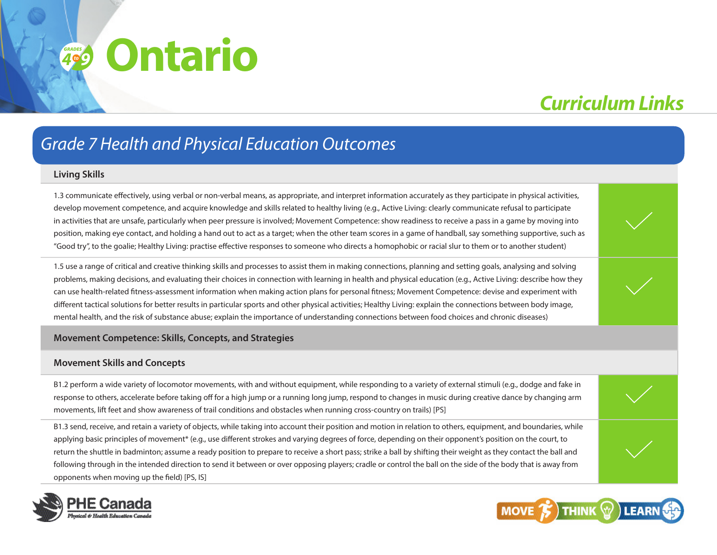## *Curriculum Links*

### *Grade 7 Health and Physical Education Outcomes*

#### **Living Skills**

1.3 communicate effectively, using verbal or non-verbal means, as appropriate, and interpret information accurately as they participate in physical activities, develop movement competence, and acquire knowledge and skills related to healthy living (e.g., Active Living: clearly communicate refusal to participate in activities that are unsafe, particularly when peer pressure is involved; Movement Competence: show readiness to receive a pass in a game by moving into position, making eye contact, and holding a hand out to act as a target; when the other team scores in a game of handball, say something supportive, such as "Good try", to the goalie; Healthy Living: practise effective responses to someone who directs a homophobic or racial slur to them or to another student)

1.5 use a range of critical and creative thinking skills and processes to assist them in making connections, planning and setting goals, analysing and solving problems, making decisions, and evaluating their choices in connection with learning in health and physical education (e.g., Active Living: describe how they can use health-related fitness-assessment information when making action plans for personal fitness; Movement Competence: devise and experiment with different tactical solutions for better results in particular sports and other physical activities; Healthy Living: explain the connections between body image, mental health, and the risk of substance abuse; explain the importance of understanding connections between food choices and chronic diseases)

#### **Movement Competence: Skills, Concepts, and Strategies**

#### **Movement Skills and Concepts**

B1.2 perform a wide variety of locomotor movements, with and without equipment, while responding to a variety of external stimuli (e.g., dodge and fake in response to others, accelerate before taking off for a high jump or a running long jump, respond to changes in music during creative dance by changing arm movements, lift feet and show awareness of trail conditions and obstacles when running cross-country on trails) [PS]

B1.3 send, receive, and retain a variety of objects, while taking into account their position and motion in relation to others, equipment, and boundaries, while applying basic principles of movement\* (e.g., use different strokes and varying degrees of force, depending on their opponent's position on the court, to return the shuttle in badminton; assume a ready position to prepare to receive a short pass; strike a ball by shifting their weight as they contact the ball and following through in the intended direction to send it between or over opposing players; cradle or control the ball on the side of the body that is away from opponents when moving up the field) [PS, IS]



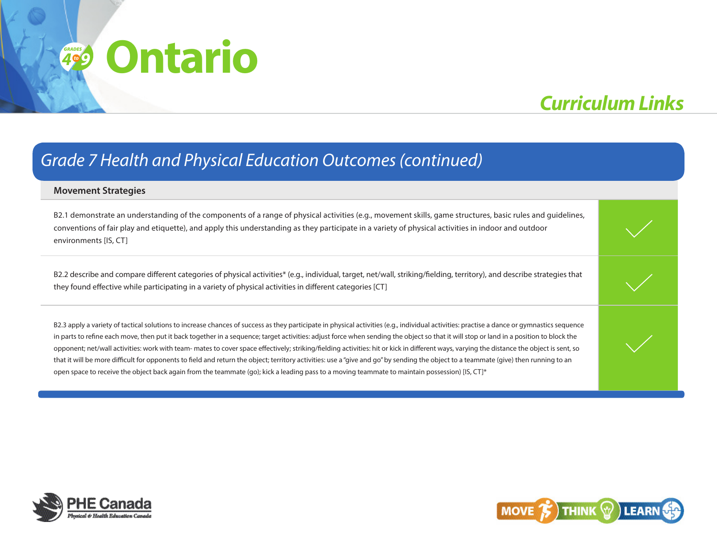## *Curriculum Links*

### *Grade 7 Health and Physical Education Outcomes (continued)*

#### **Movement Strategies**

B2.1 demonstrate an understanding of the components of a range of physical activities (e.g., movement skills, game structures, basic rules and guidelines, conventions of fair play and etiquette), and apply this understanding as they participate in a variety of physical activities in indoor and outdoor environments [IS, CT]

B2.2 describe and compare different categories of physical activities\* (e.g., individual, target, net/wall, striking/fielding, territory), and describe strategies that they found effective while participating in a variety of physical activities in different categories [CT]

B2.3 apply a variety of tactical solutions to increase chances of success as they participate in physical activities (e.g., individual activities: practise a dance or gymnastics sequence in parts to refine each move, then put it back together in a sequence; target activities: adjust force when sending the object so that it will stop or land in a position to block the opponent; net/wall activities: work with team- mates to cover space effectively; striking/fielding activities: hit or kick in different ways, varying the distance the object is sent, so that it will be more difficult for opponents to field and return the object; territory activities: use a "give and go" by sending the object to a teammate (give) then running to an open space to receive the object back again from the teammate (go); kick a leading pass to a moving teammate to maintain possession) [IS, CT]\*



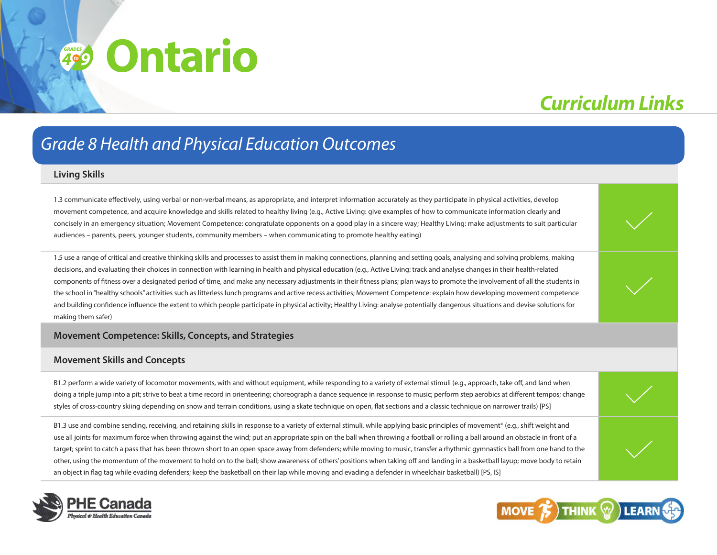## *Curriculum Links*

### *Grade 8 Health and Physical Education Outcomes*

#### **Living Skills**

1.3 communicate effectively, using verbal or non-verbal means, as appropriate, and interpret information accurately as they participate in physical activities, develop movement competence, and acquire knowledge and skills related to healthy living (e.g., Active Living: give examples of how to communicate information clearly and concisely in an emergency situation; Movement Competence: congratulate opponents on a good play in a sincere way; Healthy Living: make adjustments to suit particular audiences – parents, peers, younger students, community members – when communicating to promote healthy eating)

1.5 use a range of critical and creative thinking skills and processes to assist them in making connections, planning and setting goals, analysing and solving problems, making decisions, and evaluating their choices in connection with learning in health and physical education (e.g., Active Living: track and analyse changes in their health-related components of fitness over a designated period of time, and make any necessary adjustments in their fitness plans; plan ways to promote the involvement of all the students in the school in "healthy schools" activities such as litterless lunch programs and active recess activities; Movement Competence: explain how developing movement competence and building confidence influence the extent to which people participate in physical activity; Healthy Living: analyse potentially dangerous situations and devise solutions for making them safer)

#### **Movement Competence: Skills, Concepts, and Strategies**

#### **Movement Skills and Concepts**

B1.2 perform a wide variety of locomotor movements, with and without equipment, while responding to a variety of external stimuli (e.g., approach, take off, and land when doing a triple jump into a pit; strive to beat a time record in orienteering; choreograph a dance sequence in response to music; perform step aerobics at different tempos; change styles of cross-country skiing depending on snow and terrain conditions, using a skate technique on open, flat sections and a classic technique on narrower trails) [PS]

B1.3 use and combine sending, receiving, and retaining skills in response to a variety of external stimuli, while applying basic principles of movement\* (e.g., shift weight and use all joints for maximum force when throwing against the wind; put an appropriate spin on the ball when throwing a football or rolling a ball around an obstacle in front of a target; sprint to catch a pass that has been thrown short to an open space away from defenders; while moving to music, transfer a rhythmic gymnastics ball from one hand to the other, using the momentum of the movement to hold on to the ball; show awareness of others' positions when taking off and landing in a basketball layup; move body to retain an object in flag tag while evading defenders; keep the basketball on their lap while moving and evading a defender in wheelchair basketball) [PS, IS]



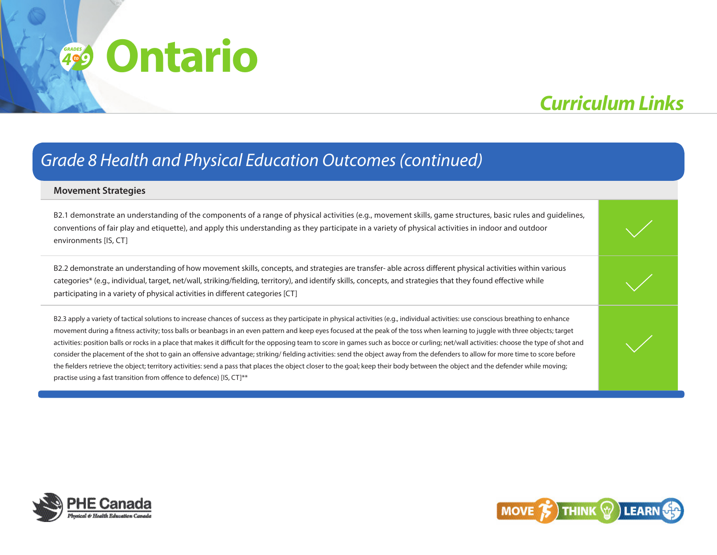## *Curriculum Links*

### *Grade 8 Health and Physical Education Outcomes (continued)*

#### **Movement Strategies**

B2.1 demonstrate an understanding of the components of a range of physical activities (e.g., movement skills, game structures, basic rules and guidelines, conventions of fair play and etiquette), and apply this understanding as they participate in a variety of physical activities in indoor and outdoor environments [IS, CT]

B2.2 demonstrate an understanding of how movement skills, concepts, and strategies are transfer- able across different physical activities within various categories\* (e.g., individual, target, net/wall, striking/fielding, territory), and identify skills, concepts, and strategies that they found effective while participating in a variety of physical activities in different categories [CT]

B2.3 apply a variety of tactical solutions to increase chances of success as they participate in physical activities (e.g., individual activities: use conscious breathing to enhance movement during a fitness activity; toss balls or beanbags in an even pattern and keep eyes focused at the peak of the toss when learning to juggle with three objects; target activities: position balls or rocks in a place that makes it difficult for the opposing team to score in games such as bocce or curling; net/wall activities: choose the type of shot and consider the placement of the shot to gain an offensive advantage; striking/ fielding activities: send the object away from the defenders to allow for more time to score before the fielders retrieve the object; territory activities: send a pass that places the object closer to the goal; keep their body between the object and the defender while moving; practise using a fast transition from offence to defence) [IS, CT]\*\*



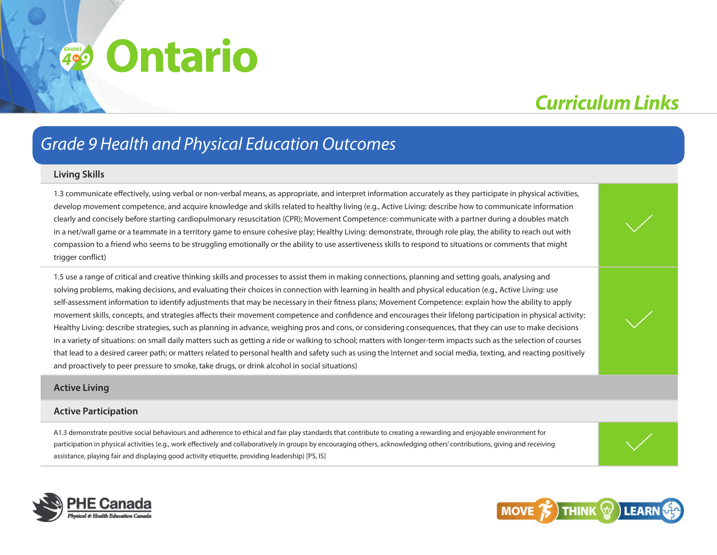## *Curriculum Links*

### *Grade 9 Health and Physical Education Outcomes*

#### **Living Skills**

1.3 communicate effectively, using verbal or non-verbal means, as appropriate, and interpret information accurately as they participate in physical activities, develop movement competence, and acquire knowledge and skills related to healthy living (e.g., Active Living: describe how to communicate information clearly and concisely before starting cardiopulmonary resuscitation (CPR); Movement Competence: communicate with a partner during a doubles match in a net/wall game or a teammate in a territory game to ensure cohesive play; Healthy Living: demonstrate, through role play, the ability to reach out with compassion to a friend who seems to be struggling emotionally or the ability to use assertiveness skills to respond to situations or comments that might trigger conflict)

1.5 use a range of critical and creative thinking skills and processes to assist them in making connections, planning and setting goals, analysing and solving problems, making decisions, and evaluating their choices in connection with learning in health and physical education (e.g., Active Living: use self-assessment information to identify adjustments that may be necessary in their fitness plans; Movement Competence: explain how the ability to apply movement skills, concepts, and strategies affects their movement competence and confidence and encourages their lifelong participation in physical activity; Healthy Living: describe strategies, such as planning in advance, weighing pros and cons, or considering consequences, that they can use to make decisions in a variety of situations: on small daily matters such as getting a ride or walking to school; matters with longer-term impacts such as the selection of courses that lead to a desired career path; or matters related to personal health and safety such as using the Internet and social media, texting, and reacting positively and proactively to peer pressure to smoke, take drugs, or drink alcohol in social situations)

#### **Active Living**

#### **Active Participation**

A1.3 demonstrate positive social behaviours and adherence to ethical and fair play standards that contribute to creating a rewarding and enjoyable environment for participation in physical activities (e.g., work effectively and collaboratively in groups by encouraging others, acknowledging others' contributions, giving and receiving assistance, playing fair and displaying good activity etiquette, providing leadership) [PS, IS]



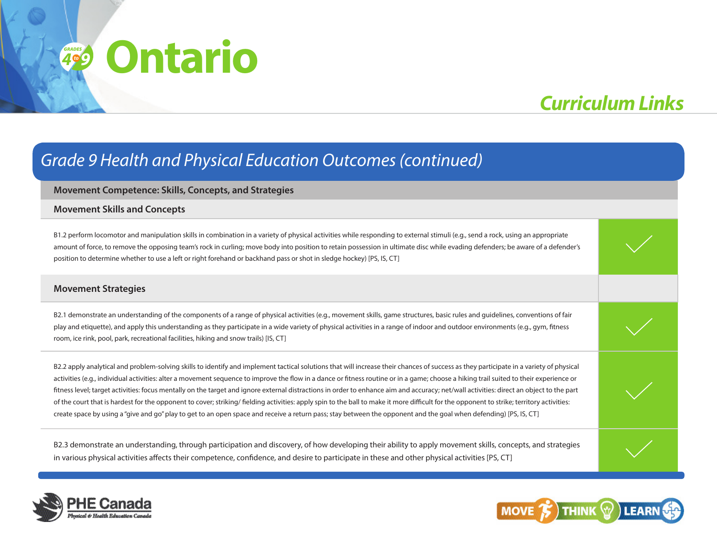# **Ontario** *<sup>4</sup> grades*

# *Curriculum Links*

### *Grade 9 Health and Physical Education Outcomes (continued)*

#### **Movement Competence: Skills, Concepts, and Strategies**

#### **Movement Skills and Concepts**

B1.2 perform locomotor and manipulation skills in combination in a variety of physical activities while responding to external stimuli (e.g., send a rock, using an appropriate amount of force, to remove the opposing team's rock in curling; move body into position to retain possession in ultimate disc while evading defenders; be aware of a defender's position to determine whether to use a left or right forehand or backhand pass or shot in sledge hockey) [PS, IS, CT]

#### **Movement Strategies**

B2.1 demonstrate an understanding of the components of a range of physical activities (e.g., movement skills, game structures, basic rules and guidelines, conventions of fair play and etiquette), and apply this understanding as they participate in a wide variety of physical activities in a range of indoor and outdoor environments (e.g., gym, fitness room, ice rink, pool, park, recreational facilities, hiking and snow trails) [IS, CT]

B2.2 apply analytical and problem-solving skills to identify and implement tactical solutions that will increase their chances of success as they participate in a variety of physical activities (e.g., individual activities: alter a movement sequence to improve the flow in a dance or fitness routine or in a game; choose a hiking trail suited to their experience or fitness level; target activities: focus mentally on the target and ignore external distractions in order to enhance aim and accuracy; net/wall activities: direct an object to the part of the court that is hardest for the opponent to cover; striking/ fielding activities: apply spin to the ball to make it more difficult for the opponent to strike; territory activities: create space by using a "give and go" play to get to an open space and receive a return pass; stay between the opponent and the goal when defending) [PS, IS, CT]

B2.3 demonstrate an understanding, through participation and discovery, of how developing their ability to apply movement skills, concepts, and strategies in various physical activities affects their competence, confidence, and desire to participate in these and other physical activities [PS, CT]



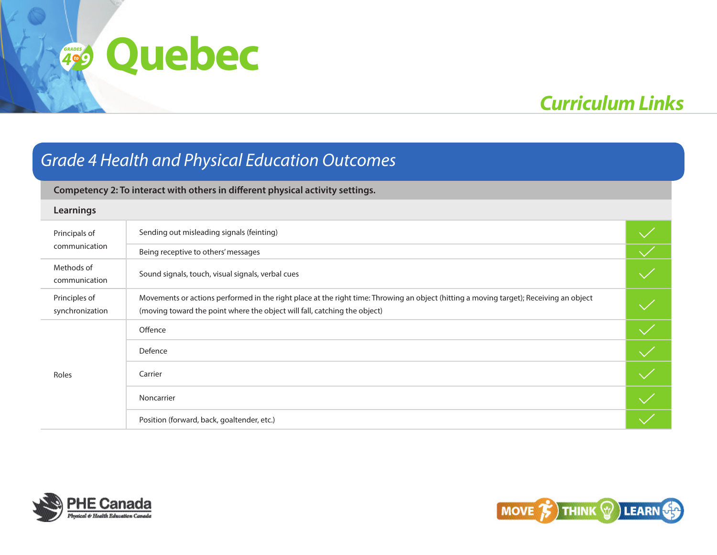# *Curriculum Links*

### *Grade 4 Health and Physical Education Outcomes*

### **Competency 2: To interact with others in different physical activity settings.**

#### **Learnings**

| Principals of<br>communication   | Sending out misleading signals (feinting)                                                                                                                                                                           |  |
|----------------------------------|---------------------------------------------------------------------------------------------------------------------------------------------------------------------------------------------------------------------|--|
|                                  | Being receptive to others' messages                                                                                                                                                                                 |  |
| Methods of<br>communication      | Sound signals, touch, visual signals, verbal cues                                                                                                                                                                   |  |
| Principles of<br>synchronization | Movements or actions performed in the right place at the right time: Throwing an object (hitting a moving target); Receiving an object<br>(moving toward the point where the object will fall, catching the object) |  |
| Roles                            | Offence                                                                                                                                                                                                             |  |
|                                  | Defence                                                                                                                                                                                                             |  |
|                                  | Carrier                                                                                                                                                                                                             |  |
|                                  | Noncarrier                                                                                                                                                                                                          |  |
|                                  | Position (forward, back, goaltender, etc.)                                                                                                                                                                          |  |



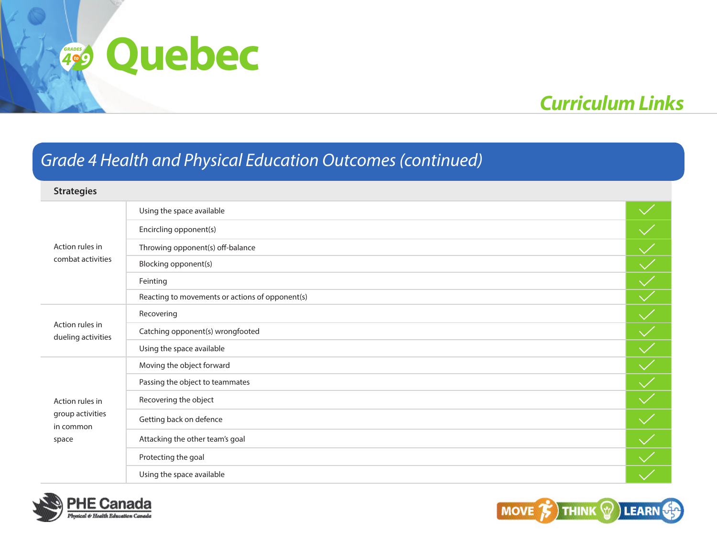# *Curriculum Links*

### *Grade 4 Health and Physical Education Outcomes (continued)*

| <b>Strategies</b>                     |                                                 |  |
|---------------------------------------|-------------------------------------------------|--|
|                                       | Using the space available                       |  |
|                                       | Encircling opponent(s)                          |  |
| Action rules in                       | Throwing opponent(s) off-balance                |  |
| combat activities                     | Blocking opponent(s)                            |  |
|                                       | Feinting                                        |  |
|                                       | Reacting to movements or actions of opponent(s) |  |
|                                       | Recovering                                      |  |
| Action rules in<br>dueling activities | Catching opponent(s) wrongfooted                |  |
|                                       | Using the space available                       |  |
|                                       | Moving the object forward                       |  |
|                                       | Passing the object to teammates                 |  |
| Action rules in                       | Recovering the object                           |  |
| group activities<br>in common         | Getting back on defence                         |  |
| space                                 | Attacking the other team's goal                 |  |
|                                       | Protecting the goal                             |  |
|                                       | Using the space available                       |  |



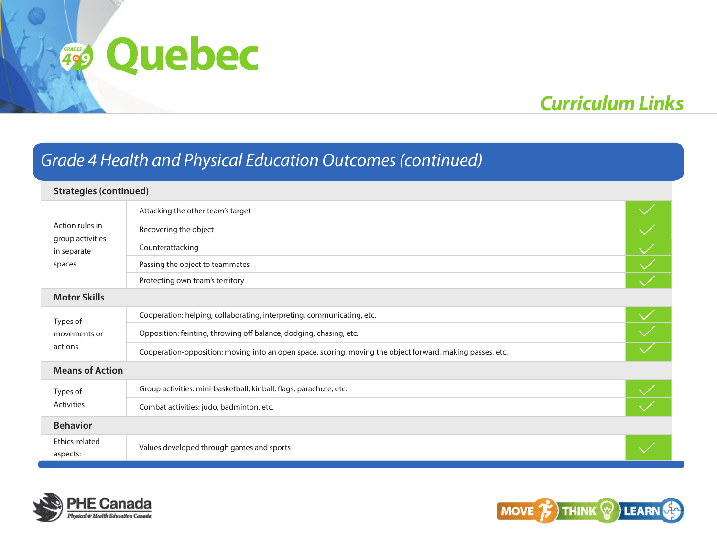# *Curriculum Links*

### *Grade 4 Health and Physical Education Outcomes (continued)*

#### **Strategies (continued)** Attacking the other team's target  $\overline{\left\langle \right\rangle \left\langle \right\rangle }$ Action rules in Recovering the object group activities Counterattacking in separate spaces Passing the object to teammates Protecting own team's territory **Motor Skills** Cooperation: helping, collaborating, interpreting, communicating, etc. Types of Opposition: feinting, throwing off balance, dodging, chasing, etc. movements or actions Cooperation-opposition: moving into an open space, scoring, moving the object forward, making passes, etc. **Means of Action** Group activities: mini-basketball, kinball, flags, parachute, etc. Types of Activities Combat activities: judo, badminton, etc. **Behavior** Ethics-related aspects: Values developed through games and sports



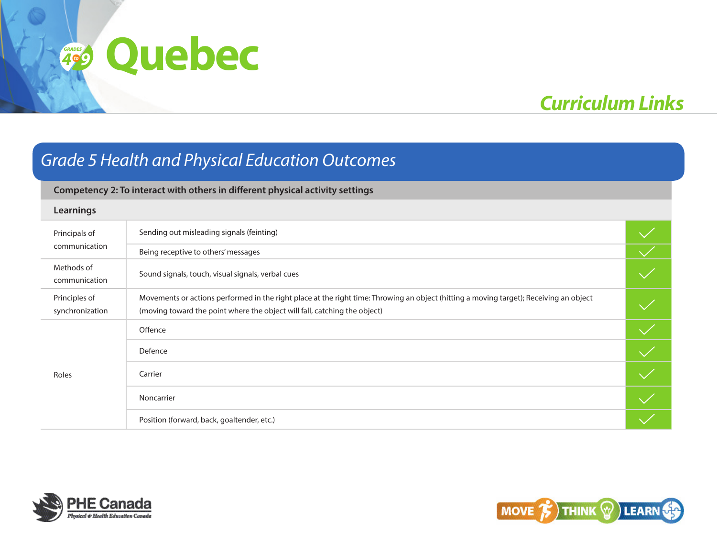# *Curriculum Links*

### *Grade 5 Health and Physical Education Outcomes*

### **Competency 2: To interact with others in different physical activity settings**

#### **Learnings**

| Principals of<br>communication   | Sending out misleading signals (feinting)                                                                                                                                                                           |  |
|----------------------------------|---------------------------------------------------------------------------------------------------------------------------------------------------------------------------------------------------------------------|--|
|                                  | Being receptive to others' messages                                                                                                                                                                                 |  |
| Methods of<br>communication      | Sound signals, touch, visual signals, verbal cues                                                                                                                                                                   |  |
| Principles of<br>synchronization | Movements or actions performed in the right place at the right time: Throwing an object (hitting a moving target); Receiving an object<br>(moving toward the point where the object will fall, catching the object) |  |
| Roles                            | Offence                                                                                                                                                                                                             |  |
|                                  | Defence                                                                                                                                                                                                             |  |
|                                  | Carrier                                                                                                                                                                                                             |  |
|                                  | Noncarrier                                                                                                                                                                                                          |  |
|                                  | Position (forward, back, goaltender, etc.)                                                                                                                                                                          |  |



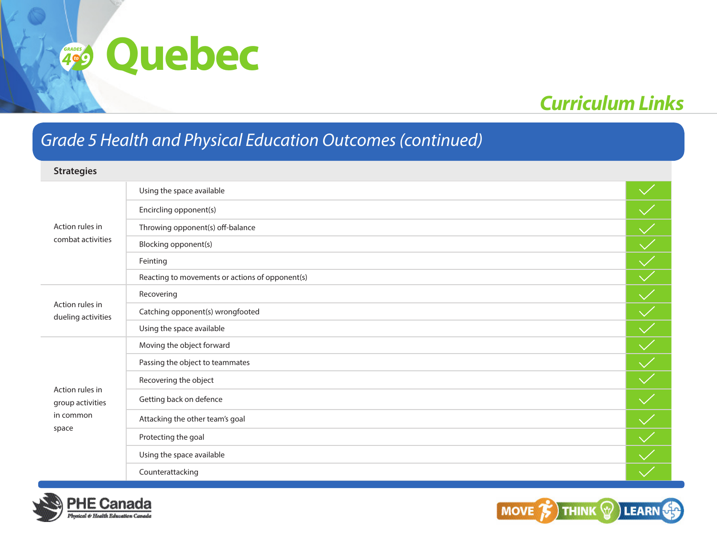# *Curriculum Links*

### *Grade 5 Health and Physical Education Outcomes (continued)*

### **Strategies** Action rules in combat activities Using the space available Encircling opponent(s) Throwing opponent(s) off-balance Blocking opponent(s) Feinting Reacting to movements or actions of opponent(s) Action rules in dueling activities Recovering Catching opponent(s) wrongfooted Using the space available Action rules in group activities in common space Moving the object forward Passing the object to teammates Recovering the object Getting back on defence Attacking the other team's goal Protecting the goal Using the space available Counterattacking



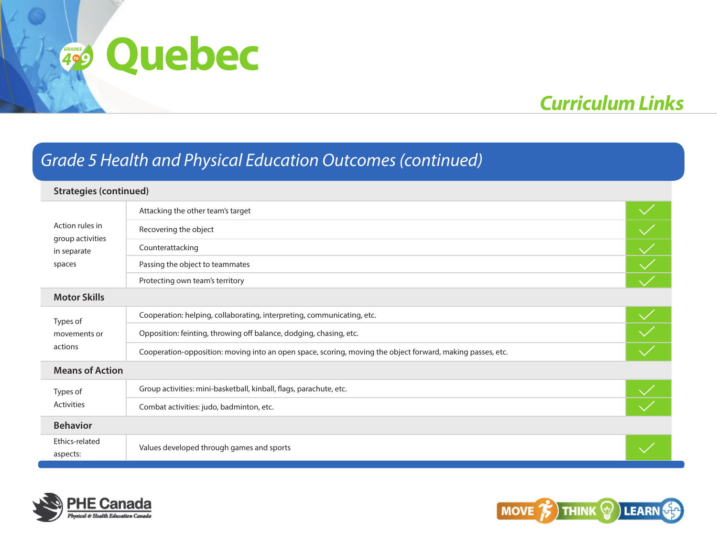# *Curriculum Links*

### *Grade 5 Health and Physical Education Outcomes (continued)*

#### **Strategies (continued)** Attacking the other team's target  $\frac{1}{\sqrt{2}}$ Action rules in Recovering the object group activities Counterattacking in separate spaces Passing the object to teammates Protecting own team's territory **Motor Skills** Cooperation: helping, collaborating, interpreting, communicating, etc. Types of Opposition: feinting, throwing off balance, dodging, chasing, etc. movements or actions Cooperation-opposition: moving into an open space, scoring, moving the object forward, making passes, etc. **Means of Action** Group activities: mini-basketball, kinball, flags, parachute, etc. Types of Activities Combat activities: judo, badminton, etc. **Behavior** Ethics-related aspects: Values developed through games and sports



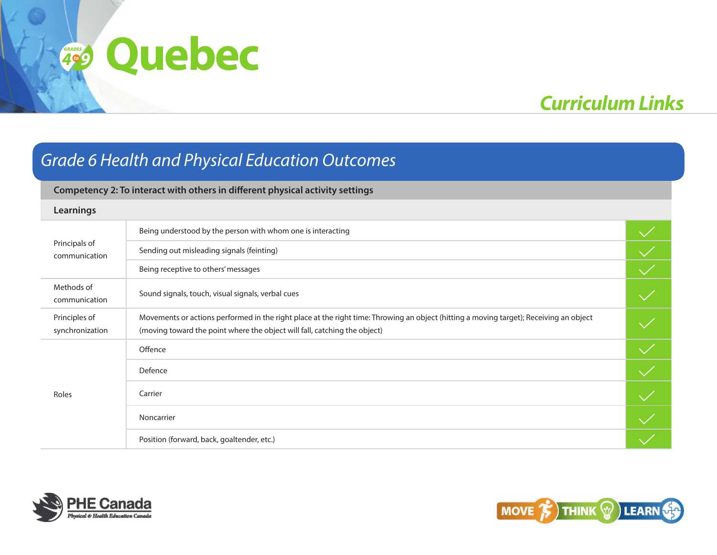# *Curriculum Links*

### *Grade 6 Health and Physical Education Outcomes*

### **Competency 2: To interact with others in different physical activity settings**

#### **Learnings**

| Principals of<br>communication   | Being understood by the person with whom one is interacting                                                                                                                                                         |  |
|----------------------------------|---------------------------------------------------------------------------------------------------------------------------------------------------------------------------------------------------------------------|--|
|                                  | Sending out misleading signals (feinting)                                                                                                                                                                           |  |
|                                  | Being receptive to others' messages                                                                                                                                                                                 |  |
| Methods of<br>communication      | Sound signals, touch, visual signals, verbal cues                                                                                                                                                                   |  |
| Principles of<br>synchronization | Movements or actions performed in the right place at the right time: Throwing an object (hitting a moving target); Receiving an object<br>(moving toward the point where the object will fall, catching the object) |  |
|                                  | Offence                                                                                                                                                                                                             |  |
|                                  | Defence                                                                                                                                                                                                             |  |
| Roles                            | Carrier                                                                                                                                                                                                             |  |
|                                  | Noncarrier                                                                                                                                                                                                          |  |
|                                  | Position (forward, back, goaltender, etc.)                                                                                                                                                                          |  |



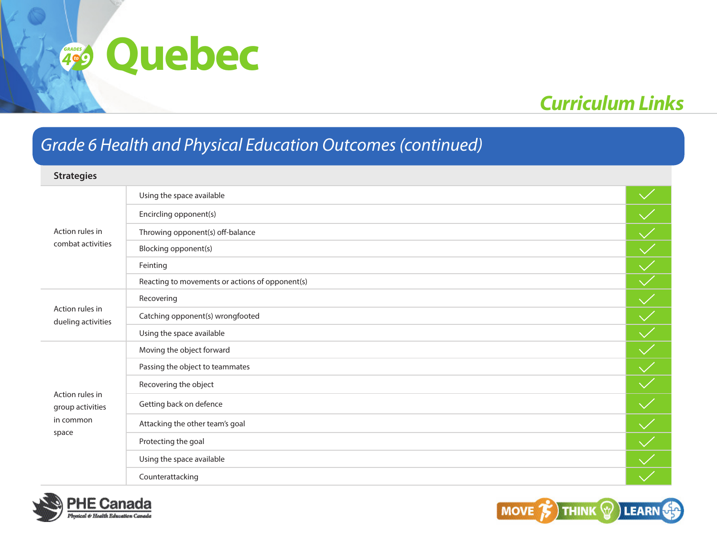# *Curriculum Links*

### *Grade 6 Health and Physical Education Outcomes (continued)*

### **Strategies**

| Action rules in<br>combat activities                      | Using the space available                       |                          |
|-----------------------------------------------------------|-------------------------------------------------|--------------------------|
|                                                           | Encircling opponent(s)                          |                          |
|                                                           | Throwing opponent(s) off-balance                |                          |
|                                                           | Blocking opponent(s)                            | $\blacktriangledown$     |
|                                                           | Feinting                                        | $\sqrt{}$                |
|                                                           | Reacting to movements or actions of opponent(s) |                          |
| Action rules in<br>dueling activities                     | Recovering                                      |                          |
|                                                           | Catching opponent(s) wrongfooted                |                          |
|                                                           | Using the space available                       |                          |
|                                                           | Moving the object forward                       | $\overline{\mathcal{M}}$ |
|                                                           | Passing the object to teammates                 |                          |
|                                                           | Recovering the object                           |                          |
| Action rules in<br>group activities<br>in common<br>space | Getting back on defence                         |                          |
|                                                           | Attacking the other team's goal                 |                          |
|                                                           | Protecting the goal                             |                          |
|                                                           | Using the space available                       |                          |
|                                                           | Counterattacking                                |                          |



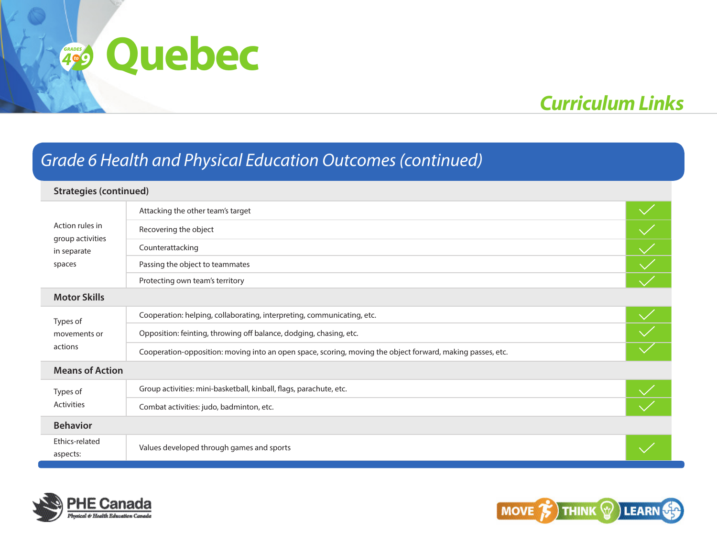# *Curriculum Links*

### *Grade 6 Health and Physical Education Outcomes (continued)*

#### **Strategies (continued)** Attacking the other team's target  $\overline{\left\langle \right\rangle \left\langle \right\rangle }$ Action rules in Recovering the object group activities Counterattacking in separate spaces Passing the object to teammates Protecting own team's territory **Motor Skills** Cooperation: helping, collaborating, interpreting, communicating, etc. Types of Opposition: feinting, throwing off balance, dodging, chasing, etc. movements or actions Cooperation-opposition: moving into an open space, scoring, moving the object forward, making passes, etc. **Means of Action** Group activities: mini-basketball, kinball, flags, parachute, etc. Types of Activities Combat activities: judo, badminton, etc. **Behavior** Ethics-related aspects: Values developed through games and sports



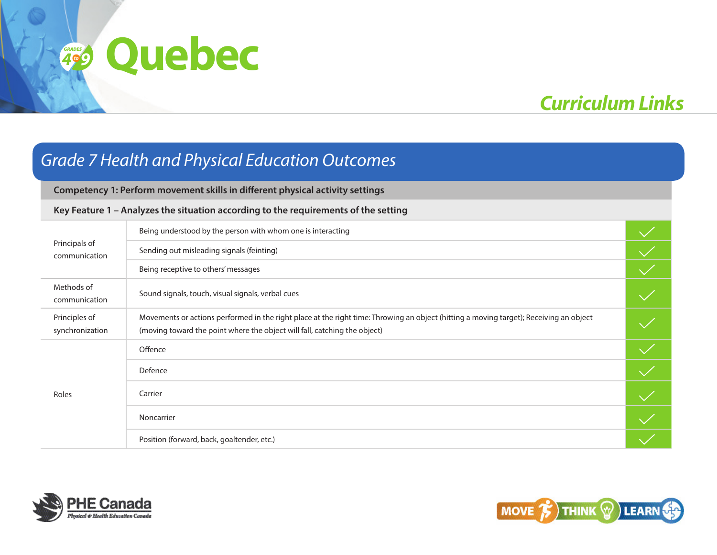# *Curriculum Links*

### *Grade 7 Health and Physical Education Outcomes*

**Competency 1: Perform movement skills in different physical activity settings**

### **Key Feature 1 – Analyzes the situation according to the requirements of the setting**

| Principals of<br>communication   | Being understood by the person with whom one is interacting                                                                                                                                                         |  |
|----------------------------------|---------------------------------------------------------------------------------------------------------------------------------------------------------------------------------------------------------------------|--|
|                                  | Sending out misleading signals (feinting)                                                                                                                                                                           |  |
|                                  | Being receptive to others' messages                                                                                                                                                                                 |  |
| Methods of<br>communication      | Sound signals, touch, visual signals, verbal cues                                                                                                                                                                   |  |
| Principles of<br>synchronization | Movements or actions performed in the right place at the right time: Throwing an object (hitting a moving target); Receiving an object<br>(moving toward the point where the object will fall, catching the object) |  |
|                                  | Offence                                                                                                                                                                                                             |  |
|                                  | Defence                                                                                                                                                                                                             |  |
| Roles                            | Carrier                                                                                                                                                                                                             |  |
|                                  | Noncarrier                                                                                                                                                                                                          |  |
|                                  | Position (forward, back, goaltender, etc.)                                                                                                                                                                          |  |



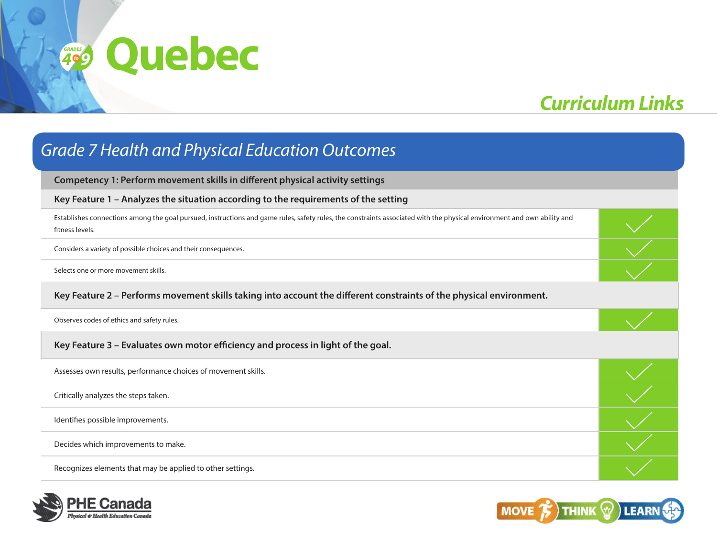# *Curriculum Links*

## **Competency 1: Perform movement skills in different physical activity settings Key Feature 1 – Analyzes the situation according to the requirements of the setting** Establishes connections among the goal pursued, instructions and game rules, safety rules, the constraints associated with the physical environment and own ability and fitness levels. Considers a variety of possible choices and their consequences. Selects one or more movement skills. **Key Feature 2 – Performs movement skills taking into account the different constraints of the physical environment.** Observes codes of ethics and safety rules. **Key Feature 3 – Evaluates own motor efficiency and process in light of the goal.** Assesses own results, performance choices of movement skills. Critically analyzes the steps taken. Identifies possible improvements. Decides which improvements to make. Recognizes elements that may be applied to other settings. *Grade 7 Health and Physical Education Outcomes*



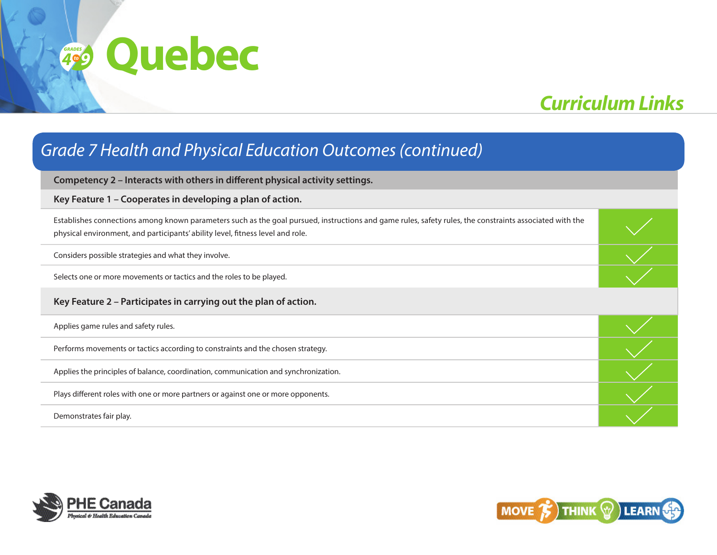# *Curriculum Links*

## **Competency 2 – Interacts with others in different physical activity settings. Key Feature 1 – Cooperates in developing a plan of action.** Establishes connections among known parameters such as the goal pursued, instructions and game rules, safety rules, the constraints associated with the physical environment, and participants' ability level, fitness level and role. Considers possible strategies and what they involve. Selects one or more movements or tactics and the roles to be played. **Key Feature 2 – Participates in carrying out the plan of action.** Applies game rules and safety rules. Performs movements or tactics according to constraints and the chosen strategy. Applies the principles of balance, coordination, communication and synchronization. Plays different roles with one or more partners or against one or more opponents. Demonstrates fair play. *Grade 7 Health and Physical Education Outcomes (continued)*



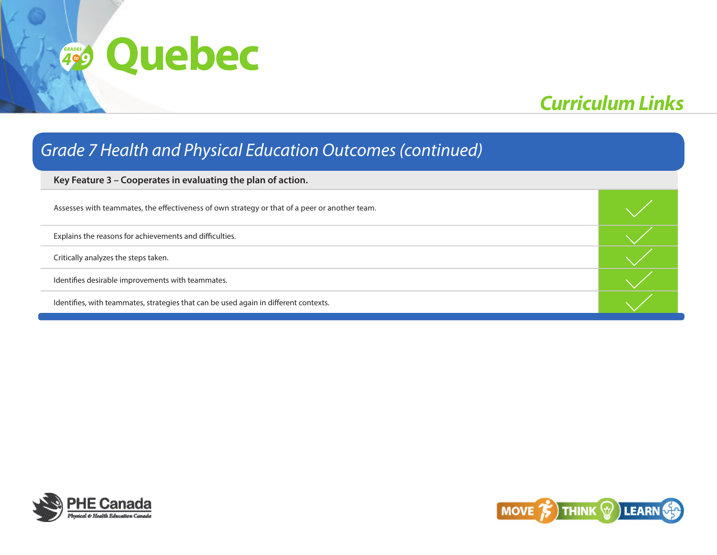# *Curriculum Links*

### *Grade 7 Health and Physical Education Outcomes (continued)*

**Key Feature 3 – Cooperates in evaluating the plan of action.**

| Assesses with teammates, the effectiveness of own strategy or that of a peer or another team. |  |
|-----------------------------------------------------------------------------------------------|--|
| Explains the reasons for achievements and difficulties.                                       |  |
| Critically analyzes the steps taken.                                                          |  |
| Identifies desirable improvements with teammates.                                             |  |
| Identifies, with teammates, strategies that can be used again in different contexts.          |  |



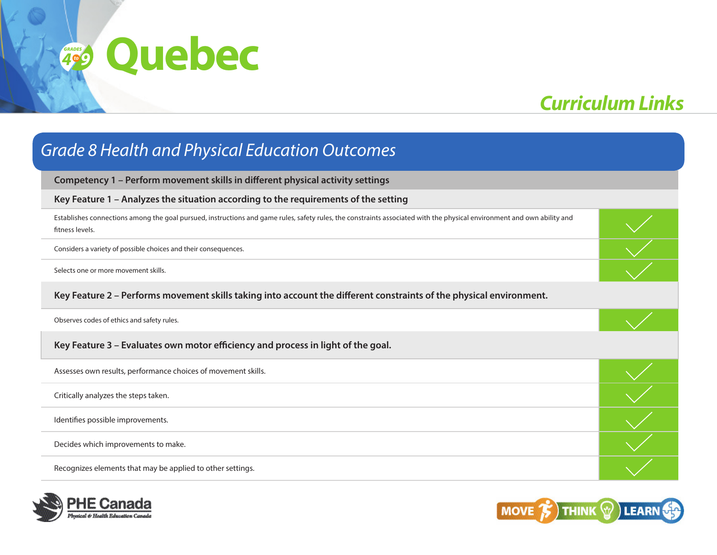# *Curriculum Links*

| <b>Grade 8 Health and Physical Education Outcomes</b>                                                                                                                                      |  |  |
|--------------------------------------------------------------------------------------------------------------------------------------------------------------------------------------------|--|--|
| Competency 1 - Perform movement skills in different physical activity settings                                                                                                             |  |  |
| Key Feature 1 - Analyzes the situation according to the requirements of the setting                                                                                                        |  |  |
| Establishes connections among the goal pursued, instructions and game rules, safety rules, the constraints associated with the physical environment and own ability and<br>fitness levels. |  |  |
| Considers a variety of possible choices and their consequences.                                                                                                                            |  |  |
| Selects one or more movement skills.                                                                                                                                                       |  |  |
| Key Feature 2 - Performs movement skills taking into account the different constraints of the physical environment.                                                                        |  |  |
| Observes codes of ethics and safety rules.                                                                                                                                                 |  |  |
| Key Feature 3 - Evaluates own motor efficiency and process in light of the goal.                                                                                                           |  |  |
| Assesses own results, performance choices of movement skills.                                                                                                                              |  |  |
| Critically analyzes the steps taken.                                                                                                                                                       |  |  |
| Identifies possible improvements.                                                                                                                                                          |  |  |
| Decides which improvements to make.                                                                                                                                                        |  |  |
| Recognizes elements that may be applied to other settings.                                                                                                                                 |  |  |



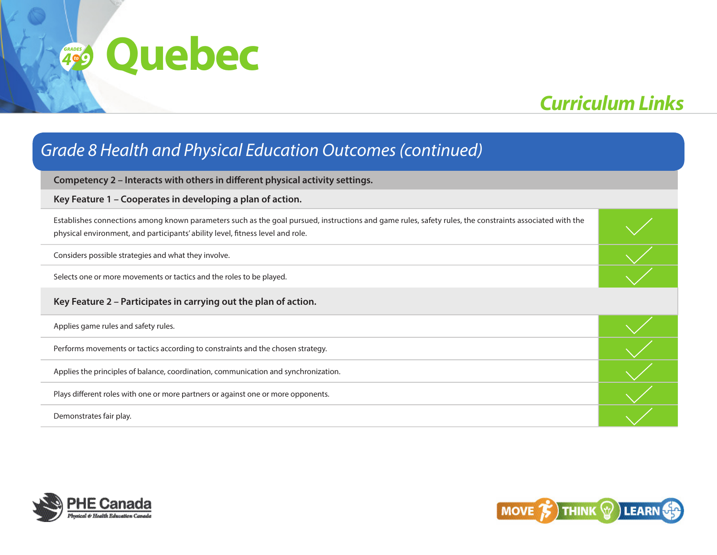# *Curriculum Links*

## **Competency 2 – Interacts with others in different physical activity settings. Key Feature 1 – Cooperates in developing a plan of action.** Establishes connections among known parameters such as the goal pursued, instructions and game rules, safety rules, the constraints associated with the physical environment, and participants' ability level, fitness level and role. Considers possible strategies and what they involve. Selects one or more movements or tactics and the roles to be played. **Key Feature 2 – Participates in carrying out the plan of action.** Applies game rules and safety rules. Performs movements or tactics according to constraints and the chosen strategy. Applies the principles of balance, coordination, communication and synchronization. Plays different roles with one or more partners or against one or more opponents. Demonstrates fair play. *Grade 8 Health and Physical Education Outcomes (continued)*



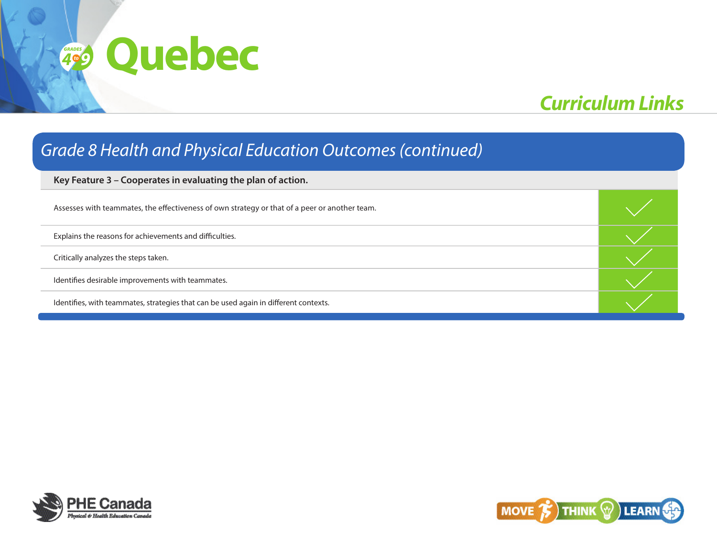# *Curriculum Links*

### *Grade 8 Health and Physical Education Outcomes (continued)*

**Key Feature 3 – Cooperates in evaluating the plan of action.**

| Assesses with teammates, the effectiveness of own strategy or that of a peer or another team. |  |
|-----------------------------------------------------------------------------------------------|--|
| Explains the reasons for achievements and difficulties.                                       |  |
| Critically analyzes the steps taken.                                                          |  |
| Identifies desirable improvements with teammates.                                             |  |
| Identifies, with teammates, strategies that can be used again in different contexts.          |  |



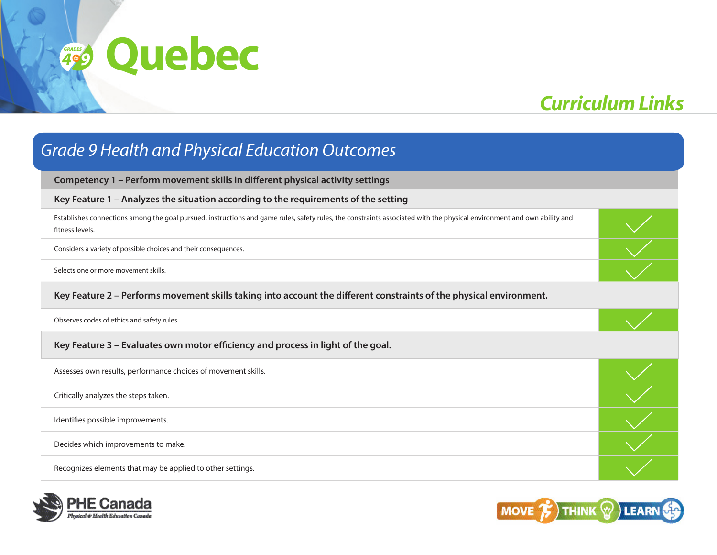# *Curriculum Links*

| <b>Grade 9 Health and Physical Education Outcomes</b>                                                                                                                                      |  |  |
|--------------------------------------------------------------------------------------------------------------------------------------------------------------------------------------------|--|--|
| Competency 1 - Perform movement skills in different physical activity settings                                                                                                             |  |  |
| Key Feature 1 - Analyzes the situation according to the requirements of the setting                                                                                                        |  |  |
| Establishes connections among the goal pursued, instructions and game rules, safety rules, the constraints associated with the physical environment and own ability and<br>fitness levels. |  |  |
| Considers a variety of possible choices and their consequences.                                                                                                                            |  |  |
| Selects one or more movement skills.                                                                                                                                                       |  |  |
| Key Feature 2 - Performs movement skills taking into account the different constraints of the physical environment.                                                                        |  |  |
| Observes codes of ethics and safety rules.                                                                                                                                                 |  |  |
| Key Feature 3 - Evaluates own motor efficiency and process in light of the goal.                                                                                                           |  |  |
| Assesses own results, performance choices of movement skills.                                                                                                                              |  |  |
| Critically analyzes the steps taken.                                                                                                                                                       |  |  |
| Identifies possible improvements.                                                                                                                                                          |  |  |
| Decides which improvements to make.                                                                                                                                                        |  |  |
| Recognizes elements that may be applied to other settings.                                                                                                                                 |  |  |



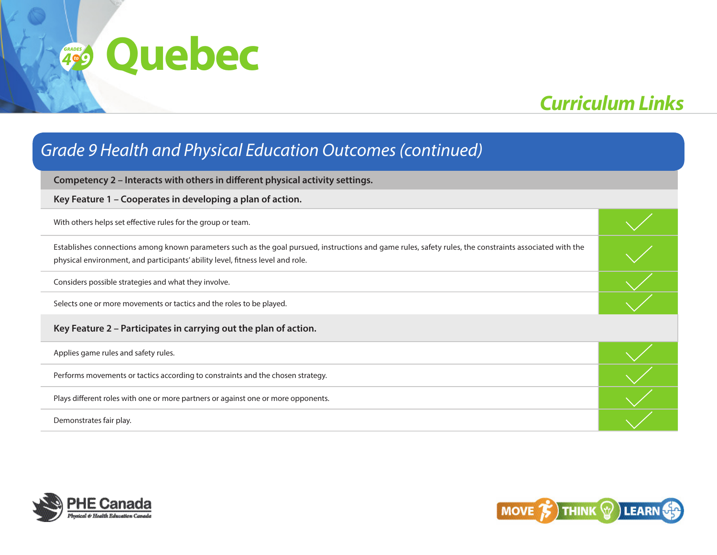# *Curriculum Links*

| <b>Grade 9 Health and Physical Education Outcomes (continued)</b>                                                                                                                                                                         |  |  |
|-------------------------------------------------------------------------------------------------------------------------------------------------------------------------------------------------------------------------------------------|--|--|
| Competency 2 - Interacts with others in different physical activity settings.                                                                                                                                                             |  |  |
| Key Feature 1 – Cooperates in developing a plan of action.                                                                                                                                                                                |  |  |
| With others helps set effective rules for the group or team.                                                                                                                                                                              |  |  |
| Establishes connections among known parameters such as the goal pursued, instructions and game rules, safety rules, the constraints associated with the<br>physical environment, and participants' ability level, fitness level and role. |  |  |
| Considers possible strategies and what they involve.                                                                                                                                                                                      |  |  |
| Selects one or more movements or tactics and the roles to be played.                                                                                                                                                                      |  |  |
| Key Feature 2 - Participates in carrying out the plan of action.                                                                                                                                                                          |  |  |
| Applies game rules and safety rules.                                                                                                                                                                                                      |  |  |
| Performs movements or tactics according to constraints and the chosen strategy.                                                                                                                                                           |  |  |
| Plays different roles with one or more partners or against one or more opponents.                                                                                                                                                         |  |  |
| Demonstrates fair play.                                                                                                                                                                                                                   |  |  |



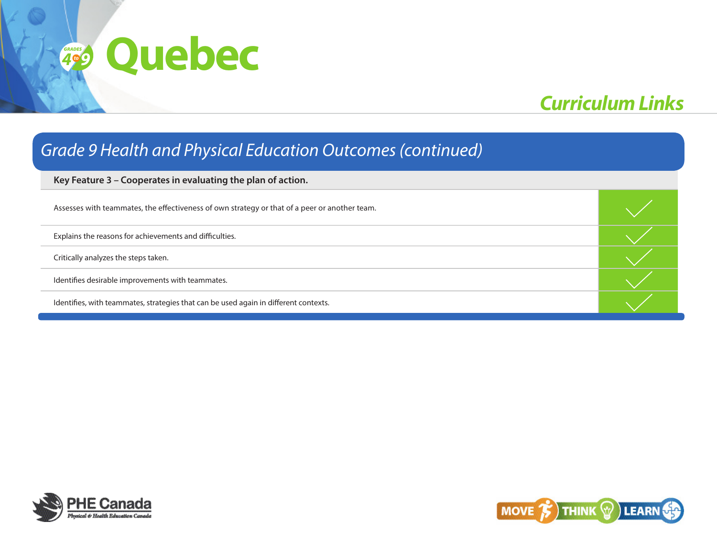# *Curriculum Links*

### *Grade 9 Health and Physical Education Outcomes (continued)*

**Key Feature 3 – Cooperates in evaluating the plan of action.**

| Assesses with teammates, the effectiveness of own strategy or that of a peer or another team. |  |
|-----------------------------------------------------------------------------------------------|--|
| Explains the reasons for achievements and difficulties.                                       |  |
| Critically analyzes the steps taken.                                                          |  |
| Identifies desirable improvements with teammates.                                             |  |
| Identifies, with teammates, strategies that can be used again in different contexts.          |  |



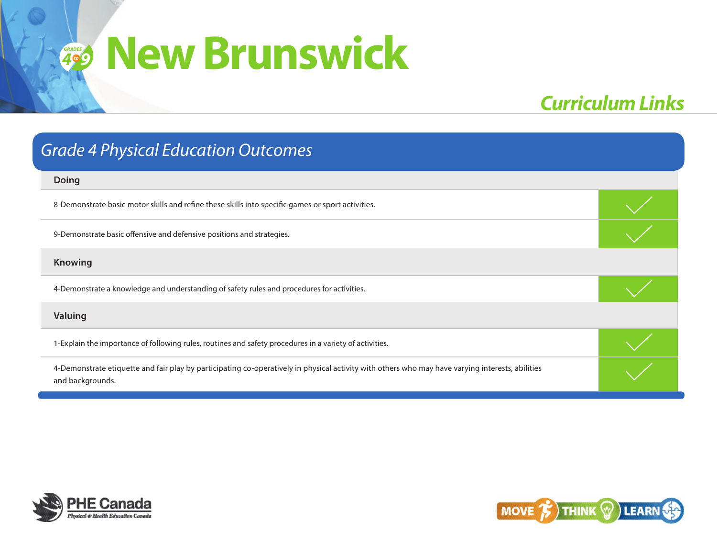# $49$  **New Brunswick** *9to*

## *Curriculum Links*

| <b>Grade 4 Physical Education Outcomes</b>                                                                                                                           |  |
|----------------------------------------------------------------------------------------------------------------------------------------------------------------------|--|
| <b>Doing</b>                                                                                                                                                         |  |
| 8-Demonstrate basic motor skills and refine these skills into specific games or sport activities.                                                                    |  |
| 9-Demonstrate basic offensive and defensive positions and strategies.                                                                                                |  |
| <b>Knowing</b>                                                                                                                                                       |  |
| 4-Demonstrate a knowledge and understanding of safety rules and procedures for activities.                                                                           |  |
| Valuing                                                                                                                                                              |  |
| 1-Explain the importance of following rules, routines and safety procedures in a variety of activities.                                                              |  |
| 4-Demonstrate etiquette and fair play by participating co-operatively in physical activity with others who may have varying interests, abilities<br>and backgrounds. |  |



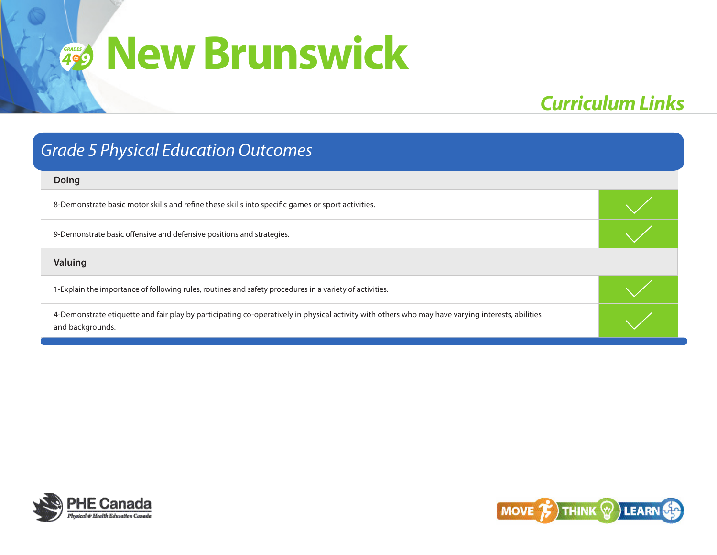## *Curriculum Links*

#### **Doing**

8-Demonstrate basic motor skills and refine these skills into specific games or sport activities.

9-Demonstrate basic offensive and defensive positions and strategies.

#### **Valuing**

1-Explain the importance of following rules, routines and safety procedures in a variety of activities.

4-Demonstrate etiquette and fair play by participating co-operatively in physical activity with others who may have varying interests, abilities and backgrounds.



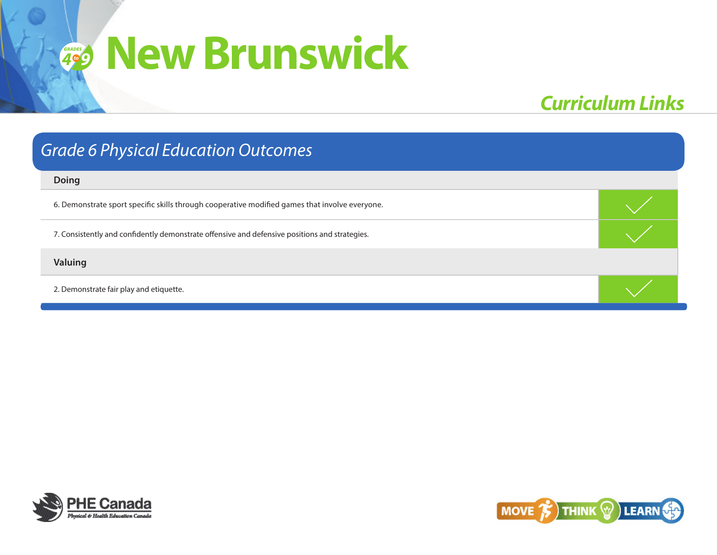## *Curriculum Links*

### *Grade 6 Physical Education Outcomes*

#### **Doing**

6. Demonstrate sport specific skills through cooperative modified games that involve everyone.

7. Consistently and confidently demonstrate offensive and defensive positions and strategies.

#### **Valuing**

2. Demonstrate fair play and etiquette.



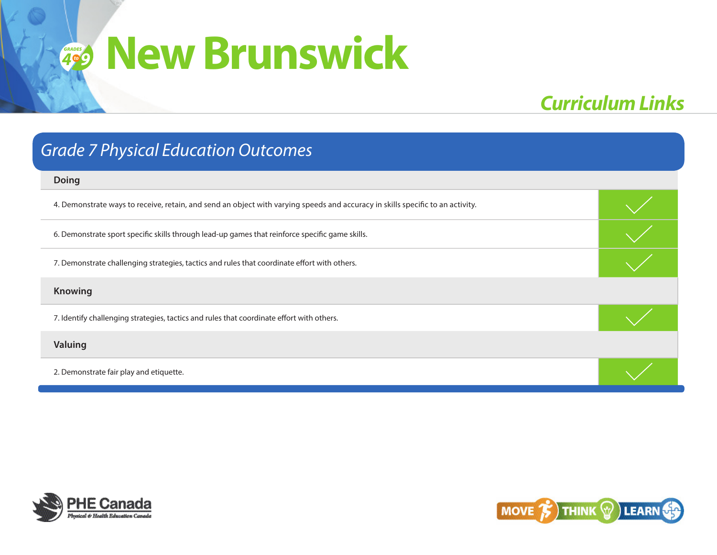## *Curriculum Links*

| <b>Grade 7 Physical Education Outcomes</b>                                                                                     |  |  |
|--------------------------------------------------------------------------------------------------------------------------------|--|--|
| <b>Doing</b>                                                                                                                   |  |  |
| 4. Demonstrate ways to receive, retain, and send an object with varying speeds and accuracy in skills specific to an activity. |  |  |
| 6. Demonstrate sport specific skills through lead-up games that reinforce specific game skills.                                |  |  |
| 7. Demonstrate challenging strategies, tactics and rules that coordinate effort with others.                                   |  |  |
| <b>Knowing</b>                                                                                                                 |  |  |
| 7. Identify challenging strategies, tactics and rules that coordinate effort with others.                                      |  |  |
| Valuing                                                                                                                        |  |  |
| 2. Demonstrate fair play and etiquette.                                                                                        |  |  |



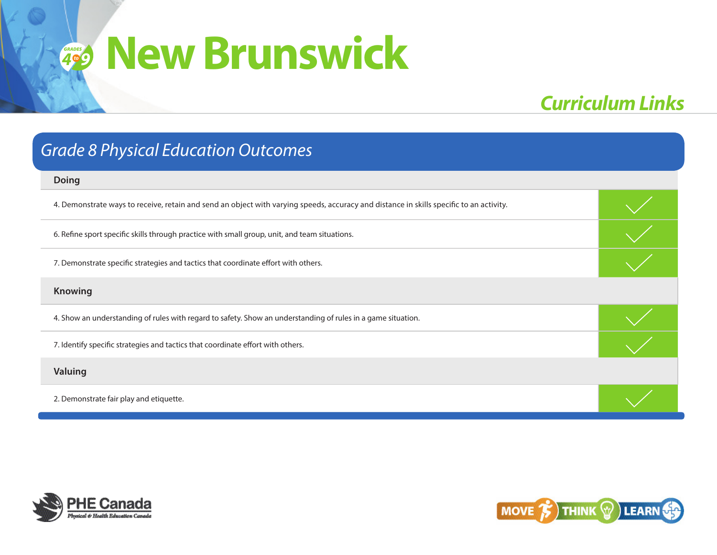# *Curriculum Links*

| <b>Grade 8 Physical Education Outcomes</b>                                                                                              |  |
|-----------------------------------------------------------------------------------------------------------------------------------------|--|
| <b>Doing</b>                                                                                                                            |  |
| 4. Demonstrate ways to receive, retain and send an object with varying speeds, accuracy and distance in skills specific to an activity. |  |
| 6. Refine sport specific skills through practice with small group, unit, and team situations.                                           |  |
| 7. Demonstrate specific strategies and tactics that coordinate effort with others.                                                      |  |
| <b>Knowing</b>                                                                                                                          |  |
| 4. Show an understanding of rules with regard to safety. Show an understanding of rules in a game situation.                            |  |
| 7. Identify specific strategies and tactics that coordinate effort with others.                                                         |  |
| Valuing                                                                                                                                 |  |
| 2. Demonstrate fair play and etiquette.                                                                                                 |  |



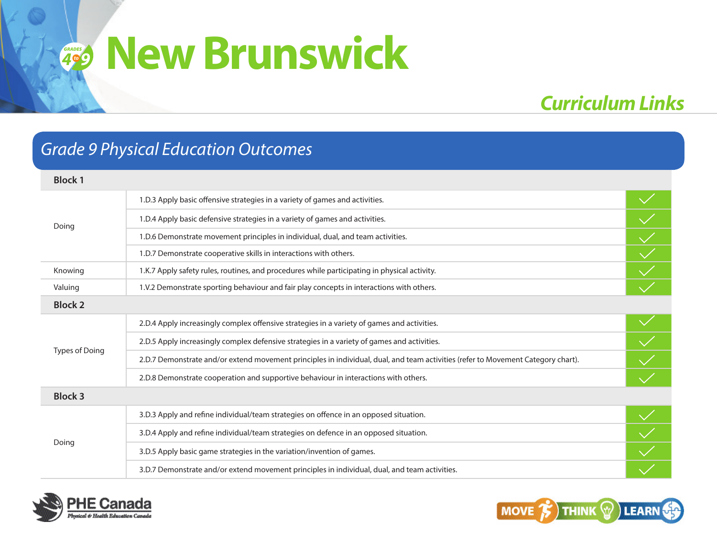# *Curriculum Links*

### *Grade 9 Physical Education Outcomes*

| <b>Block 1</b>        |                                                                                                                                  |  |
|-----------------------|----------------------------------------------------------------------------------------------------------------------------------|--|
| Doing                 | 1.D.3 Apply basic offensive strategies in a variety of games and activities.                                                     |  |
|                       | 1.D.4 Apply basic defensive strategies in a variety of games and activities.                                                     |  |
|                       | 1.D.6 Demonstrate movement principles in individual, dual, and team activities.                                                  |  |
|                       | 1.D.7 Demonstrate cooperative skills in interactions with others.                                                                |  |
| Knowing               | 1.K.7 Apply safety rules, routines, and procedures while participating in physical activity.                                     |  |
| Valuing               | 1.V.2 Demonstrate sporting behaviour and fair play concepts in interactions with others.                                         |  |
| <b>Block 2</b>        |                                                                                                                                  |  |
| <b>Types of Doing</b> | 2.D.4 Apply increasingly complex offensive strategies in a variety of games and activities.                                      |  |
|                       | 2.D.5 Apply increasingly complex defensive strategies in a variety of games and activities.                                      |  |
|                       | 2.D.7 Demonstrate and/or extend movement principles in individual, dual, and team activities (refer to Movement Category chart). |  |
|                       | 2.D.8 Demonstrate cooperation and supportive behaviour in interactions with others.                                              |  |
| <b>Block 3</b>        |                                                                                                                                  |  |
|                       | 3.D.3 Apply and refine individual/team strategies on offence in an opposed situation.                                            |  |
| Doing                 | 3.D.4 Apply and refine individual/team strategies on defence in an opposed situation.                                            |  |
|                       | 3.D.5 Apply basic game strategies in the variation/invention of games.                                                           |  |
|                       | 3.D.7 Demonstrate and/or extend movement principles in individual, dual, and team activities.                                    |  |



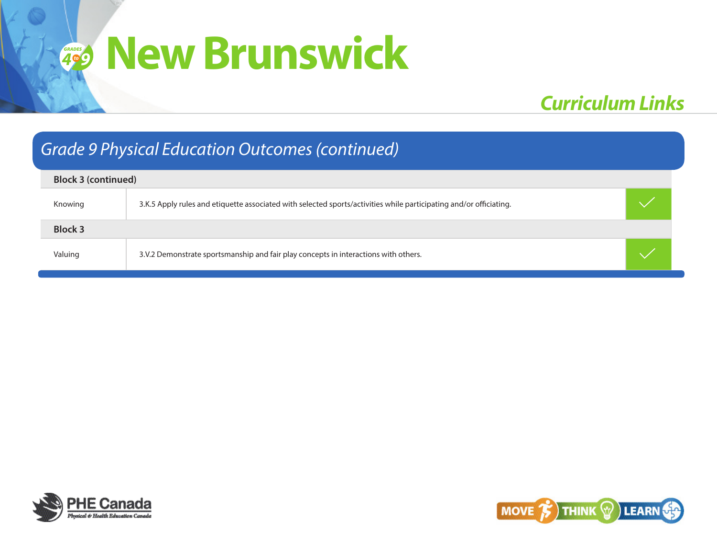# *Curriculum Links*

## *Grade 9 Physical Education Outcomes (continued)*

| <b>Block 3 (continued)</b> |                                                                                                                    |  |  |
|----------------------------|--------------------------------------------------------------------------------------------------------------------|--|--|
| Knowing                    | 3.K.5 Apply rules and etiquette associated with selected sports/activities while participating and/or officiating. |  |  |
| <b>Block 3</b>             |                                                                                                                    |  |  |
| Valuing                    | 3.V.2 Demonstrate sportsmanship and fair play concepts in interactions with others.                                |  |  |



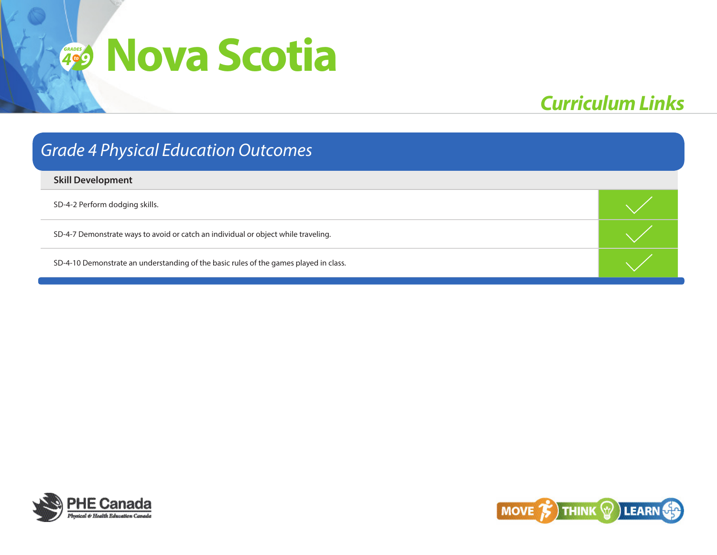# **4**<sup><sup>6</sup><sup></sup><sup>9</sup></sup> **Nova Scotia**

# *Curriculum Links*

| <b>Grade 4 Physical Education Outcomes</b>                                            |  |  |  |
|---------------------------------------------------------------------------------------|--|--|--|
| <b>Skill Development</b>                                                              |  |  |  |
| SD-4-2 Perform dodging skills.                                                        |  |  |  |
| SD-4-7 Demonstrate ways to avoid or catch an individual or object while traveling.    |  |  |  |
| SD-4-10 Demonstrate an understanding of the basic rules of the games played in class. |  |  |  |



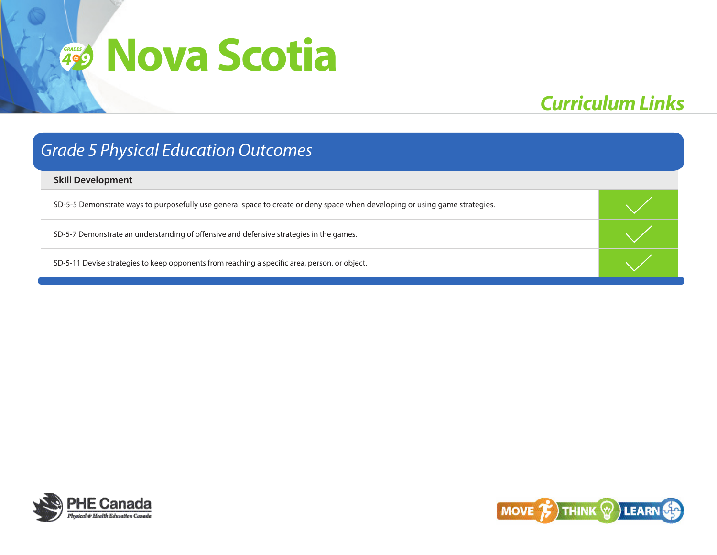# *Curriculum Links*

### *Grade 5 Physical Education Outcomes*

#### **Skill Development**

SD-5-5 Demonstrate ways to purposefully use general space to create or deny space when developing or using game strategies.

SD-5-7 Demonstrate an understanding of offensive and defensive strategies in the games.

SD-5-11 Devise strategies to keep opponents from reaching a specific area, person, or object.



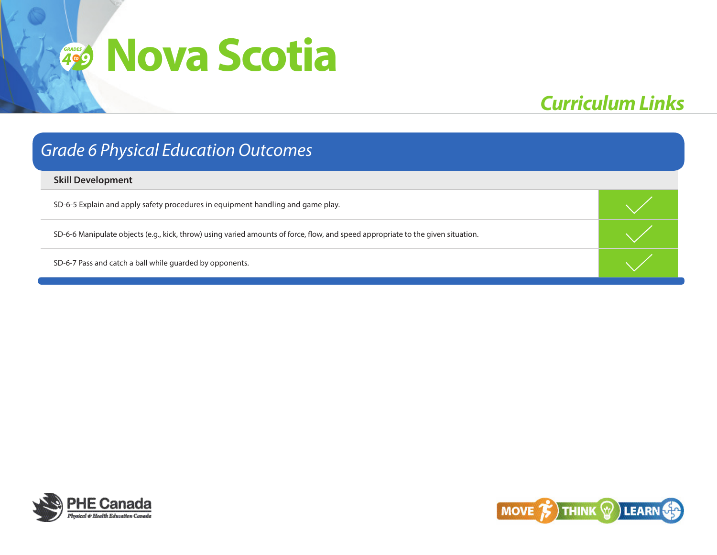# *Curriculum Links*

### *Grade 6 Physical Education Outcomes*

**Skill Development**

SD-6-5 Explain and apply safety procedures in equipment handling and game play.

SD-6-6 Manipulate objects (e.g., kick, throw) using varied amounts of force, flow, and speed appropriate to the given situation.

SD-6-7 Pass and catch a ball while guarded by opponents.



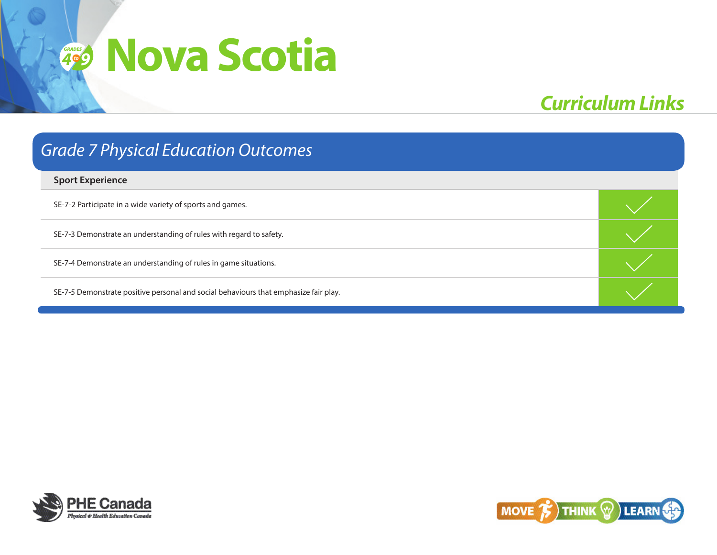# *Curriculum Links*

# **Sport Experience** SE-7-2 Participate in a wide variety of sports and games. SE-7-3 Demonstrate an understanding of rules with regard to safety. SE-7-4 Demonstrate an understanding of rules in game situations. SE-7-5 Demonstrate positive personal and social behaviours that emphasize fair play. *Grade 7 Physical Education Outcomes*



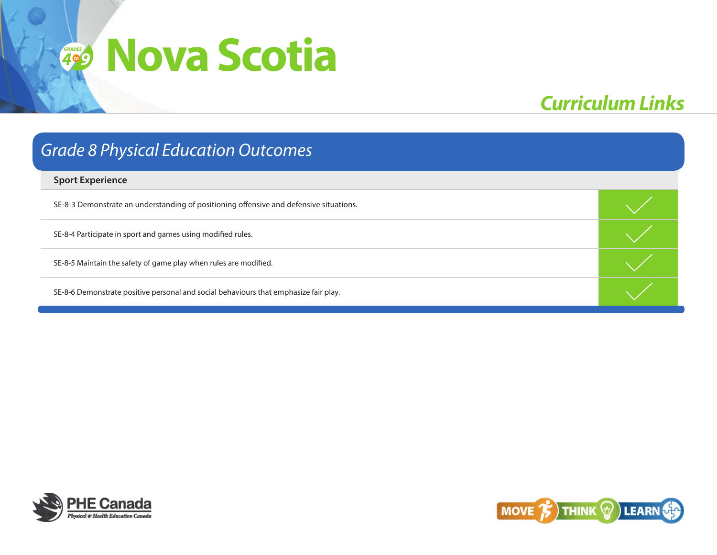# *Curriculum Links*

### *Grade 8 Physical Education Outcomes*

#### **Sport Experience**

SE-8-3 Demonstrate an understanding of positioning offensive and defensive situations.

SE-8-4 Participate in sport and games using modified rules.

SE-8-5 Maintain the safety of game play when rules are modified.

SE-8-6 Demonstrate positive personal and social behaviours that emphasize fair play.



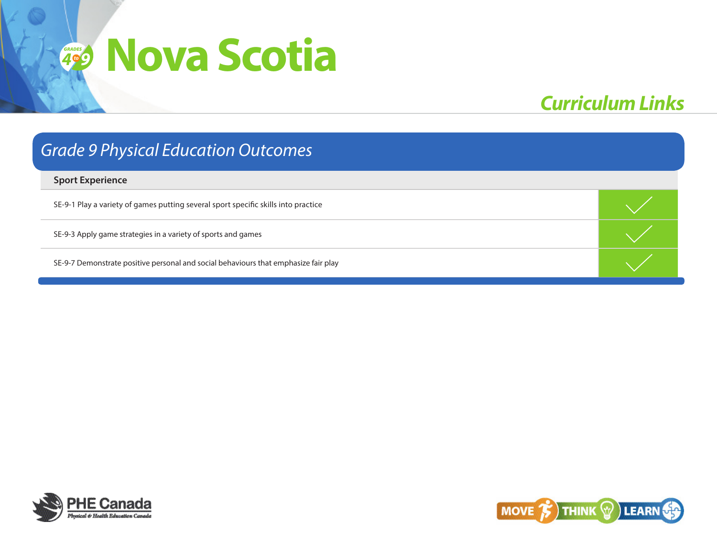# *Curriculum Links*

# *Grade 9 Physical Education Outcomes*

#### **Sport Experience**

SE-9-1 Play a variety of games putting several sport specific skills into practice

SE-9-3 Apply game strategies in a variety of sports and games

SE-9-7 Demonstrate positive personal and social behaviours that emphasize fair play



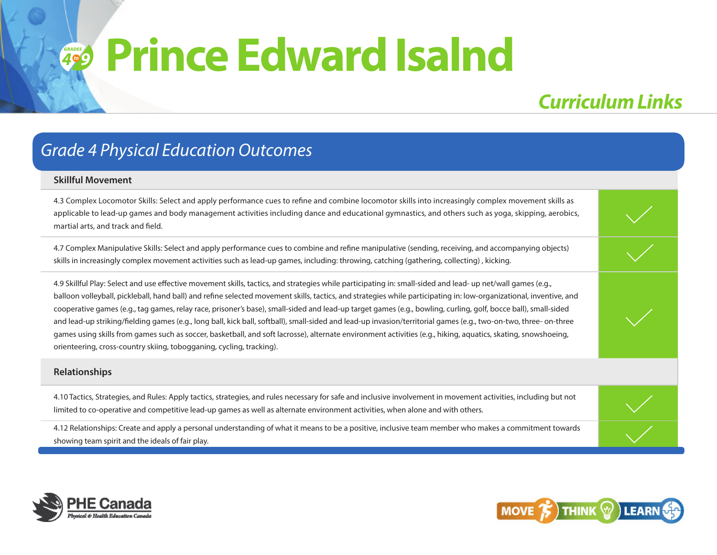## **4**<sup><sup>6</sup><sup>9</sup></sup> **Prince Edward Isalnd**

## *Curriculum Links*

### *Grade 4 Physical Education Outcomes*

#### **Skillful Movement**

4.3 Complex Locomotor Skills: Select and apply performance cues to refine and combine locomotor skills into increasingly complex movement skills as applicable to lead-up games and body management activities including dance and educational gymnastics, and others such as yoga, skipping, aerobics, martial arts, and track and field.

4.7 Complex Manipulative Skills: Select and apply performance cues to combine and refine manipulative (sending, receiving, and accompanying objects) skills in increasingly complex movement activities such as lead-up games, including: throwing, catching (gathering, collecting) , kicking.

4.9 Skillful Play: Select and use effective movement skills, tactics, and strategies while participating in: small-sided and lead- up net/wall games (e.g., balloon volleyball, pickleball, hand ball) and refine selected movement skills, tactics, and strategies while participating in: low-organizational, inventive, and cooperative games (e.g., tag games, relay race, prisoner's base), small-sided and lead-up target games (e.g., bowling, curling, golf, bocce ball), small-sided and lead-up striking/fielding games (e.g., long ball, kick ball, softball), small-sided and lead-up invasion/territorial games (e.g., two-on-two, three- on-three games using skills from games such as soccer, basketball, and soft lacrosse), alternate environment activities (e.g., hiking, aquatics, skating, snowshoeing, orienteering, cross-country skiing, tobogganing, cycling, tracking).

#### **Relationships**

4.10 Tactics, Strategies, and Rules: Apply tactics, strategies, and rules necessary for safe and inclusive involvement in movement activities, including but not limited to co-operative and competitive lead-up games as well as alternate environment activities, when alone and with others.

4.12 Relationships: Create and apply a personal understanding of what it means to be a positive, inclusive team member who makes a commitment towards showing team spirit and the ideals of fair play.



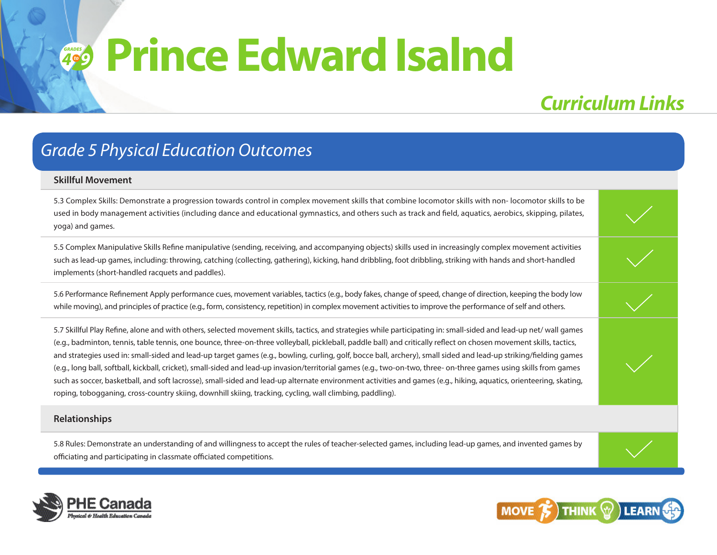## **4**<sup><sup>6</sup><sup>9</sup></sup> **Prince Edward Isalnd**

## *Curriculum Links*

### *Grade 5 Physical Education Outcomes*

#### **Skillful Movement**

5.3 Complex Skills: Demonstrate a progression towards control in complex movement skills that combine locomotor skills with non- locomotor skills to be used in body management activities (including dance and educational gymnastics, and others such as track and field, aquatics, aerobics, skipping, pilates, yoga) and games.

5.5 Complex Manipulative Skills Refine manipulative (sending, receiving, and accompanying objects) skills used in increasingly complex movement activities such as lead-up games, including: throwing, catching (collecting, gathering), kicking, hand dribbling, foot dribbling, striking with hands and short-handled implements (short-handled racquets and paddles).

5.6 Performance Refinement Apply performance cues, movement variables, tactics (e.g., body fakes, change of speed, change of direction, keeping the body low while moving), and principles of practice (e.g., form, consistency, repetition) in complex movement activities to improve the performance of self and others.

5.7 Skillful Play Refine, alone and with others, selected movement skills, tactics, and strategies while participating in: small-sided and lead-up net/ wall games (e.g., badminton, tennis, table tennis, one bounce, three-on-three volleyball, pickleball, paddle ball) and critically reflect on chosen movement skills, tactics, and strategies used in: small-sided and lead-up target games (e.g., bowling, curling, golf, bocce ball, archery), small sided and lead-up striking/fielding games (e.g., long ball, softball, kickball, cricket), small-sided and lead-up invasion/territorial games (e.g., two-on-two, three- on-three games using skills from games such as soccer, basketball, and soft lacrosse), small-sided and lead-up alternate environment activities and games (e.g., hiking, aquatics, orienteering, skating, roping, tobogganing, cross-country skiing, downhill skiing, tracking, cycling, wall climbing, paddling).

#### **Relationships**

5.8 Rules: Demonstrate an understanding of and willingness to accept the rules of teacher-selected games, including lead-up games, and invented games by officiating and participating in classmate officiated competitions.



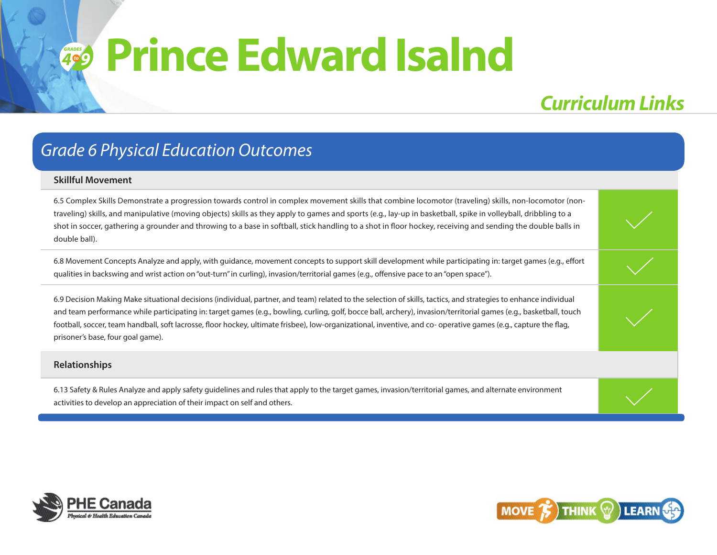# **4**<sup><sup>6</sup><sup>9</sup></sup> **Prince Edward Isalnd**

## *Curriculum Links*

### *Grade 6 Physical Education Outcomes*

#### **Skillful Movement**

6.5 Complex Skills Demonstrate a progression towards control in complex movement skills that combine locomotor (traveling) skills, non-locomotor (nontraveling) skills, and manipulative (moving objects) skills as they apply to games and sports (e.g., lay-up in basketball, spike in volleyball, dribbling to a shot in soccer, gathering a grounder and throwing to a base in softball, stick handling to a shot in floor hockey, receiving and sending the double balls in double ball).

6.8 Movement Concepts Analyze and apply, with guidance, movement concepts to support skill development while participating in: target games (e.g., effort qualities in backswing and wrist action on "out-turn" in curling), invasion/territorial games (e.g., offensive pace to an "open space").

6.9 Decision Making Make situational decisions (individual, partner, and team) related to the selection of skills, tactics, and strategies to enhance individual and team performance while participating in: target games (e.g., bowling, curling, golf, bocce ball, archery), invasion/territorial games (e.g., basketball, touch football, soccer, team handball, soft lacrosse, floor hockey, ultimate frisbee), low-organizational, inventive, and co- operative games (e.g., capture the flag, prisoner's base, four goal game).

#### **Relationships**

6.13 Safety & Rules Analyze and apply safety guidelines and rules that apply to the target games, invasion/territorial games, and alternate environment activities to develop an appreciation of their impact on self and others.



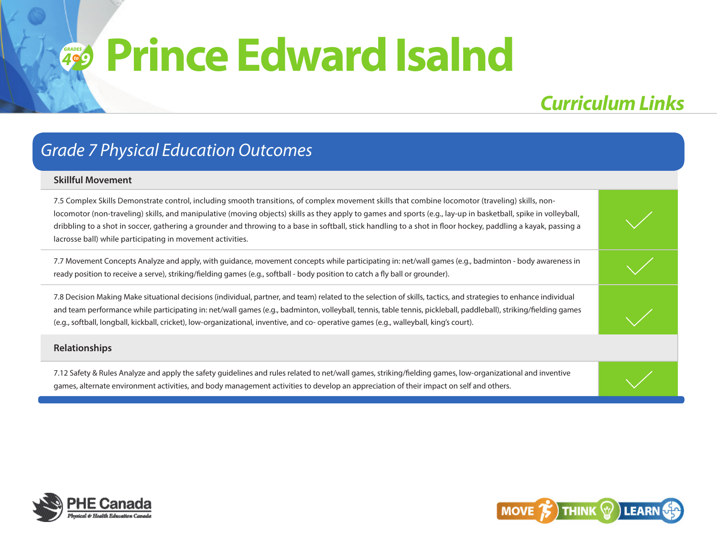## **4**<sup><sup>6</sup><sup>9</sup></sup> **Prince Edward Isalnd**

## *Curriculum Links*

#### *Grade 7 Physical Education Outcomes*

#### **Skillful Movement**

7.5 Complex Skills Demonstrate control, including smooth transitions, of complex movement skills that combine locomotor (traveling) skills, nonlocomotor (non-traveling) skills, and manipulative (moving objects) skills as they apply to games and sports (e.g., lay-up in basketball, spike in volleyball, dribbling to a shot in soccer, gathering a grounder and throwing to a base in softball, stick handling to a shot in floor hockey, paddling a kayak, passing a lacrosse ball) while participating in movement activities.

7.7 Movement Concepts Analyze and apply, with guidance, movement concepts while participating in: net/wall games (e.g., badminton - body awareness in ready position to receive a serve), striking/fielding games (e.g., softball - body position to catch a fly ball or grounder).

7.8 Decision Making Make situational decisions (individual, partner, and team) related to the selection of skills, tactics, and strategies to enhance individual and team performance while participating in: net/wall games (e.g., badminton, volleyball, tennis, table tennis, pickleball, paddleball), striking/fielding games (e.g., softball, longball, kickball, cricket), low-organizational, inventive, and co- operative games (e.g., walleyball, king's court).

#### **Relationships**

7.12 Safety & Rules Analyze and apply the safety guidelines and rules related to net/wall games, striking/fielding games, low-organizational and inventive games, alternate environment activities, and body management activities to develop an appreciation of their impact on self and others.



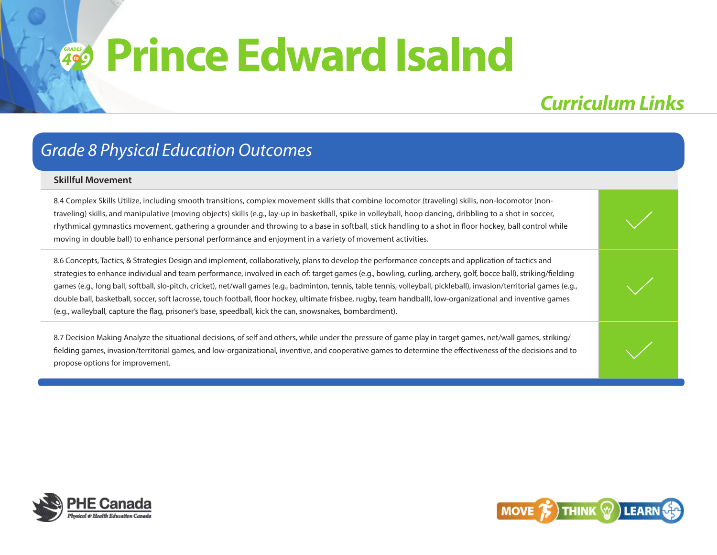### **4**<sup><sup>6</sup><sup>9</sup></sup> **Prince Edward Isalnd**

### *Curriculum Links*

#### *Grade 8 Physical Education Outcomes*

#### **Skillful Movement**

8.4 Complex Skills Utilize, including smooth transitions, complex movement skills that combine locomotor (traveling) skills, non-locomotor (nontraveling) skills, and manipulative (moving objects) skills (e.g., lay-up in basketball, spike in volleyball, hoop dancing, dribbling to a shot in soccer, rhythmical gymnastics movement, gathering a grounder and throwing to a base in softball, stick handling to a shot in floor hockey, ball control while moving in double ball) to enhance personal performance and enjoyment in a variety of movement activities.

8.6 Concepts, Tactics, & Strategies Design and implement, collaboratively, plans to develop the performance concepts and application of tactics and strategies to enhance individual and team performance, involved in each of: target games (e.g., bowling, curling, archery, golf, bocce ball), striking/fielding games (e.g., long ball, softball, slo-pitch, cricket), net/wall games (e.g., badminton, tennis, table tennis, volleyball, pickleball), invasion/territorial games (e.g., double ball, basketball, soccer, soft lacrosse, touch football, floor hockey, ultimate frisbee, rugby, team handball), low-organizational and inventive games (e.g., walleyball, capture the flag, prisoner's base, speedball, kick the can, snowsnakes, bombardment).

8.7 Decision Making Analyze the situational decisions, of self and others, while under the pressure of game play in target games, net/wall games, striking/ fielding games, invasion/territorial games, and low-organizational, inventive, and cooperative games to determine the effectiveness of the decisions and to propose options for improvement.



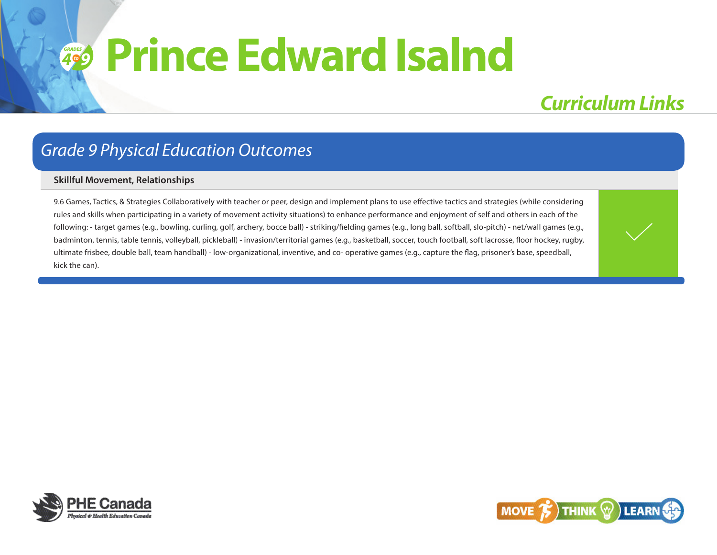### **4**<sup><sup>6</sup><sup>9</sup></sup> **Prince Edward Isalnd**

### *Curriculum Links*

#### *Grade 9 Physical Education Outcomes*

#### **Skillful Movement, Relationships**

9.6 Games, Tactics, & Strategies Collaboratively with teacher or peer, design and implement plans to use effective tactics and strategies (while considering rules and skills when participating in a variety of movement activity situations) to enhance performance and enjoyment of self and others in each of the following: - target games (e.g., bowling, curling, golf, archery, bocce ball) - striking/fielding games (e.g., long ball, softball, slo-pitch) - net/wall games (e.g., badminton, tennis, table tennis, volleyball, pickleball) - invasion/territorial games (e.g., basketball, soccer, touch football, soft lacrosse, floor hockey, rugby, ultimate frisbee, double ball, team handball) - low-organizational, inventive, and co- operative games (e.g., capture the flag, prisoner's base, speedball, kick the can).



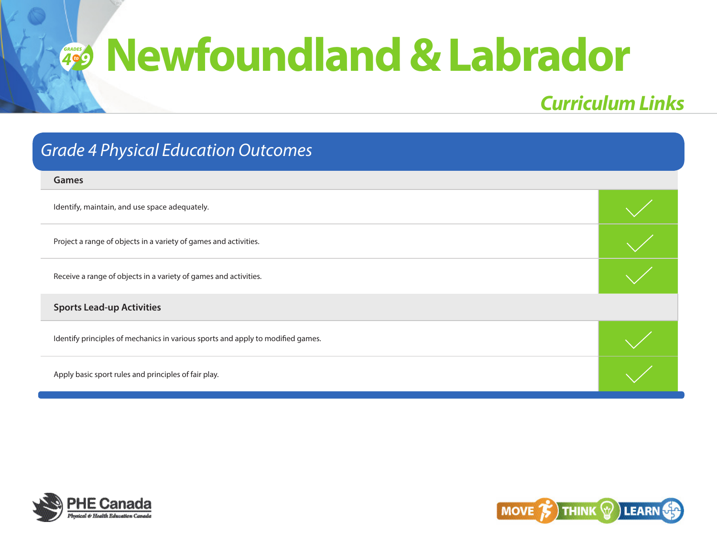| <b>Grade 4 Physical Education Outcomes</b>                                      |  |  |
|---------------------------------------------------------------------------------|--|--|
| Games                                                                           |  |  |
| Identify, maintain, and use space adequately.                                   |  |  |
| Project a range of objects in a variety of games and activities.                |  |  |
| Receive a range of objects in a variety of games and activities.                |  |  |
| <b>Sports Lead-up Activities</b>                                                |  |  |
| Identify principles of mechanics in various sports and apply to modified games. |  |  |
| Apply basic sport rules and principles of fair play.                            |  |  |



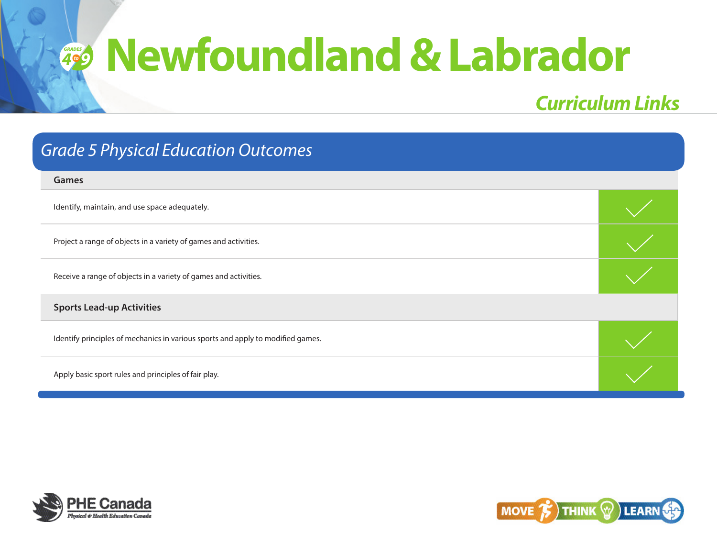| <b>Grade 5 Physical Education Outcomes</b>                                      |  |  |
|---------------------------------------------------------------------------------|--|--|
| Games                                                                           |  |  |
| Identify, maintain, and use space adequately.                                   |  |  |
| Project a range of objects in a variety of games and activities.                |  |  |
| Receive a range of objects in a variety of games and activities.                |  |  |
| <b>Sports Lead-up Activities</b>                                                |  |  |
| Identify principles of mechanics in various sports and apply to modified games. |  |  |
| Apply basic sport rules and principles of fair play.                            |  |  |



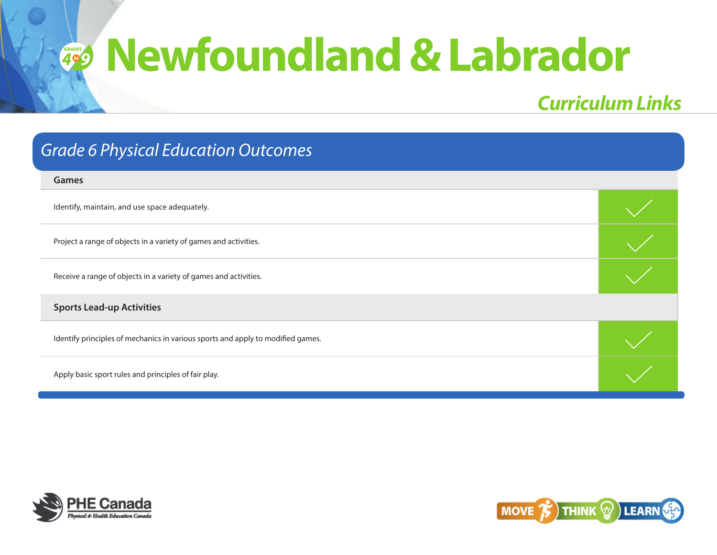| <b>Grade 6 Physical Education Outcomes</b>                                      |  |
|---------------------------------------------------------------------------------|--|
| Games                                                                           |  |
| Identify, maintain, and use space adequately.                                   |  |
| Project a range of objects in a variety of games and activities.                |  |
| Receive a range of objects in a variety of games and activities.                |  |
| <b>Sports Lead-up Activities</b>                                                |  |
| Identify principles of mechanics in various sports and apply to modified games. |  |
| Apply basic sport rules and principles of fair play.                            |  |



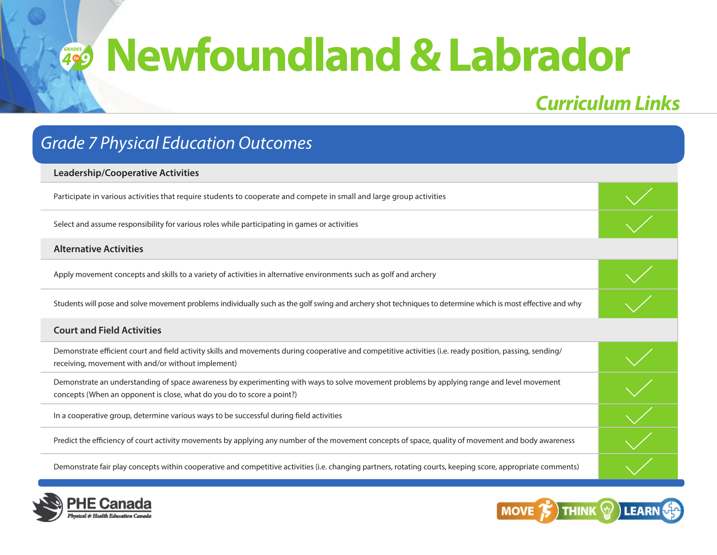# *Curriculum Links*

## **Leadership/Cooperative Activities** Participate in various activities that require students to cooperate and compete in small and large group activities Select and assume responsibility for various roles while participating in games or activities **Alternative Activities** Apply movement concepts and skills to a variety of activities in alternative environments such as golf and archery Students will pose and solve movement problems individually such as the golf swing and archery shot techniques to determine which is most effective and why **Court and Field Activities** Demonstrate efficient court and field activity skills and movements during cooperative and competitive activities (i.e. ready position, passing, sending/ receiving, movement with and/or without implement) Demonstrate an understanding of space awareness by experimenting with ways to solve movement problems by applying range and level movement concepts (When an opponent is close, what do you do to score a point?) In a cooperative group, determine various ways to be successful during field activities Predict the efficiency of court activity movements by applying any number of the movement concepts of space, quality of movement and body awareness Demonstrate fair play concepts within cooperative and competitive activities (i.e. changing partners, rotating courts, keeping score, appropriate comments) *Grade 7 Physical Education Outcomes*



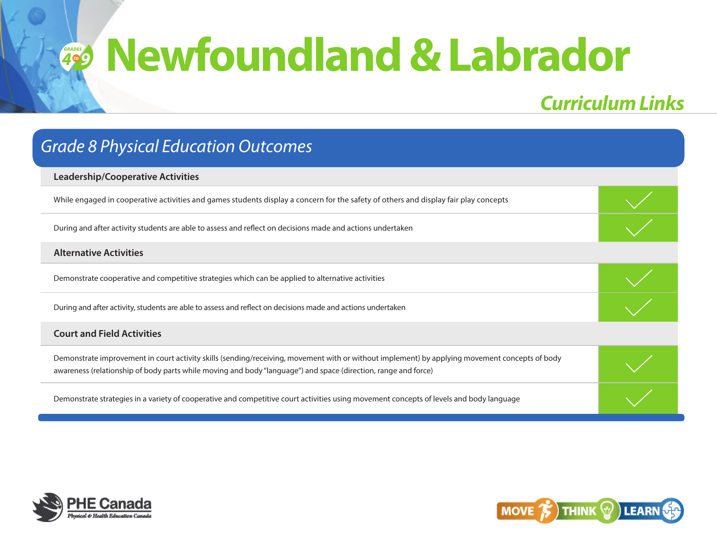## *Curriculum Links*

# **Leadership/Cooperative Activities** While engaged in cooperative activities and games students display a concern for the safety of others and display fair play concepts During and after activity students are able to assess and reflect on decisions made and actions undertaken **Alternative Activities** Demonstrate cooperative and competitive strategies which can be applied to alternative activities During and after activity, students are able to assess and reflect on decisions made and actions undertaken **Court and Field Activities** Demonstrate improvement in court activity skills (sending/receiving, movement with or without implement) by applying movement concepts of body awareness (relationship of body parts while moving and body "language") and space (direction, range and force) Demonstrate strategies in a variety of cooperative and competitive court activities using movement concepts of levels and body language *Grade 8 Physical Education Outcomes*